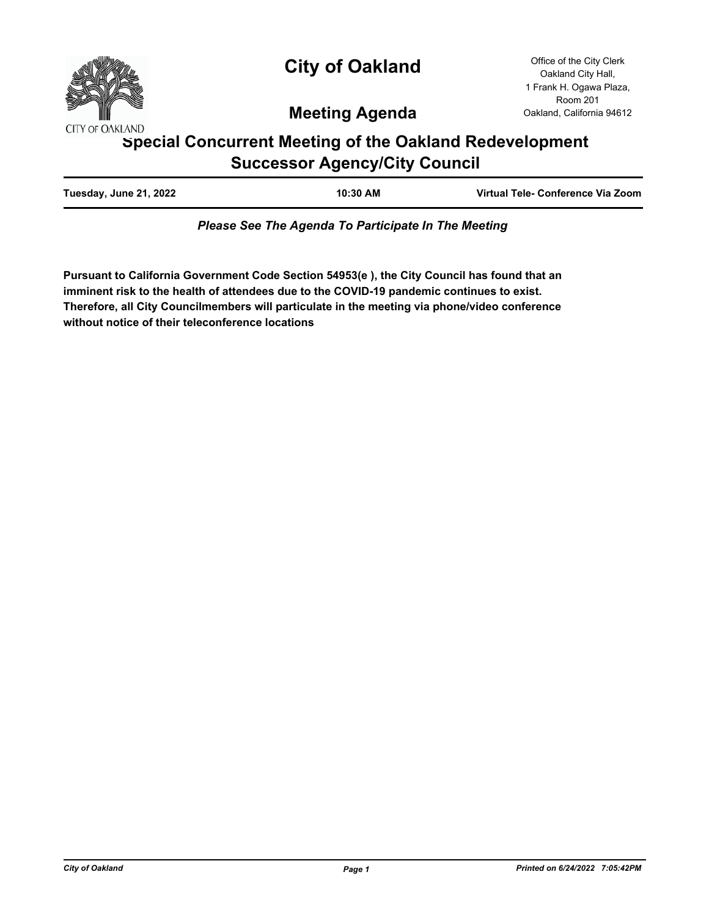

# **City of Oakland**

Office of the City Clerk Oakland City Hall, 1 Frank H. Ogawa Plaza, Room 201 Oakland, California 94612

# **Meeting Agenda**

# **Special Concurrent Meeting of the Oakland Redevelopment Successor Agency/City Council**

| Virtual Tele- Conference Via Zoom<br>Tuesday, June 21, 2022<br>10:30 AM |  |
|-------------------------------------------------------------------------|--|
|-------------------------------------------------------------------------|--|

*Please See The Agenda To Participate In The Meeting*

**Pursuant to California Government Code Section 54953(e ), the City Council has found that an imminent risk to the health of attendees due to the COVID-19 pandemic continues to exist. Therefore, all City Councilmembers will particulate in the meeting via phone/video conference without notice of their teleconference locations**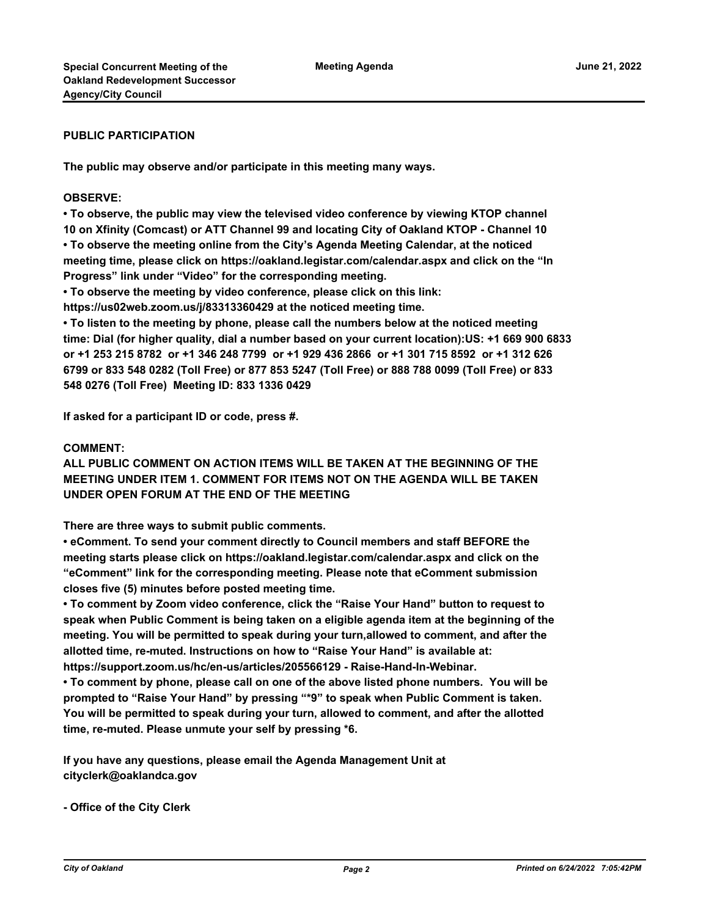#### **PUBLIC PARTICIPATION**

**The public may observe and/or participate in this meeting many ways.**

#### **OBSERVE:**

**• To observe, the public may view the televised video conference by viewing KTOP channel 10 on Xfinity (Comcast) or ATT Channel 99 and locating City of Oakland KTOP - Channel 10 • To observe the meeting online from the City's Agenda Meeting Calendar, at the noticed meeting time, please click on https://oakland.legistar.com/calendar.aspx and click on the "In Progress" link under "Video" for the corresponding meeting.** 

**• To observe the meeting by video conference, please click on this link:** 

**https://us02web.zoom.us/j/83313360429 at the noticed meeting time.**

**• To listen to the meeting by phone, please call the numbers below at the noticed meeting time: Dial (for higher quality, dial a number based on your current location):US: +1 669 900 6833 or +1 253 215 8782 or +1 346 248 7799 or +1 929 436 2866 or +1 301 715 8592 or +1 312 626 6799 or 833 548 0282 (Toll Free) or 877 853 5247 (Toll Free) or 888 788 0099 (Toll Free) or 833 548 0276 (Toll Free) Meeting ID: 833 1336 0429** 

**If asked for a participant ID or code, press #.** 

#### **COMMENT:**

**ALL PUBLIC COMMENT ON ACTION ITEMS WILL BE TAKEN AT THE BEGINNING OF THE MEETING UNDER ITEM 1. COMMENT FOR ITEMS NOT ON THE AGENDA WILL BE TAKEN UNDER OPEN FORUM AT THE END OF THE MEETING**

**There are three ways to submit public comments.** 

**• eComment. To send your comment directly to Council members and staff BEFORE the meeting starts please click on https://oakland.legistar.com/calendar.aspx and click on the "eComment" link for the corresponding meeting. Please note that eComment submission closes five (5) minutes before posted meeting time.**

**• To comment by Zoom video conference, click the "Raise Your Hand" button to request to speak when Public Comment is being taken on a eligible agenda item at the beginning of the meeting. You will be permitted to speak during your turn,allowed to comment, and after the allotted time, re-muted. Instructions on how to "Raise Your Hand" is available at: https://support.zoom.us/hc/en-us/articles/205566129 - Raise-Hand-In-Webinar.**

**• To comment by phone, please call on one of the above listed phone numbers. You will be prompted to "Raise Your Hand" by pressing "\*9" to speak when Public Comment is taken. You will be permitted to speak during your turn, allowed to comment, and after the allotted time, re-muted. Please unmute your self by pressing \*6.**

**If you have any questions, please email the Agenda Management Unit at cityclerk@oaklandca.gov**

**- Office of the City Clerk**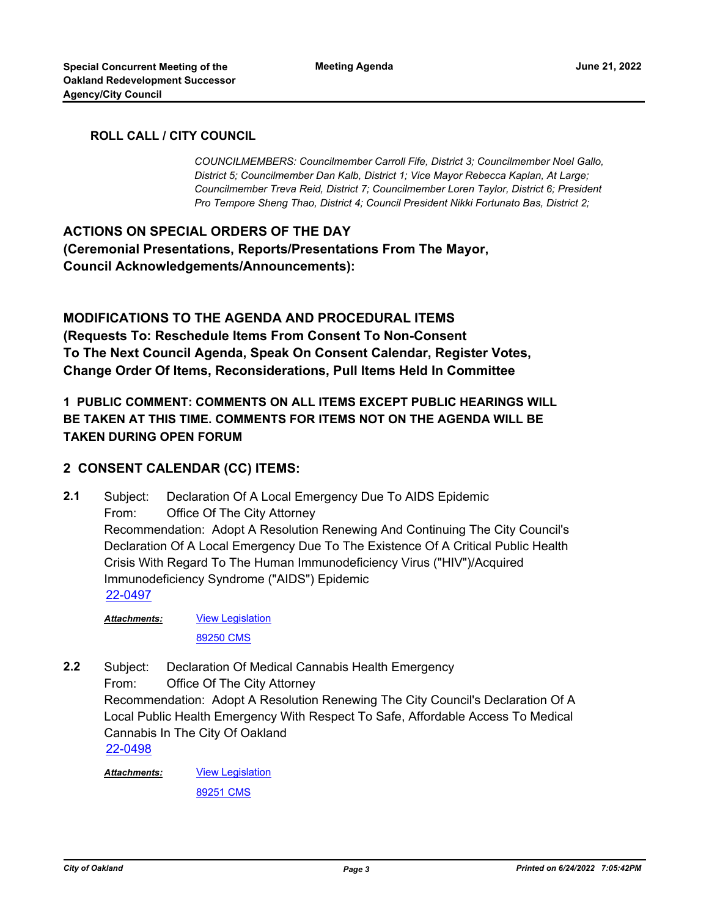### **ROLL CALL / CITY COUNCIL**

*COUNCILMEMBERS: Councilmember Carroll Fife, District 3; Councilmember Noel Gallo, District 5; Councilmember Dan Kalb, District 1; Vice Mayor Rebecca Kaplan, At Large; Councilmember Treva Reid, District 7; Councilmember Loren Taylor, District 6; President Pro Tempore Sheng Thao, District 4; Council President Nikki Fortunato Bas, District 2;*

**ACTIONS ON SPECIAL ORDERS OF THE DAY (Ceremonial Presentations, Reports/Presentations From The Mayor, Council Acknowledgements/Announcements):**

**MODIFICATIONS TO THE AGENDA AND PROCEDURAL ITEMS (Requests To: Reschedule Items From Consent To Non-Consent To The Next Council Agenda, Speak On Consent Calendar, Register Votes, Change Order Of Items, Reconsiderations, Pull Items Held In Committee**

**1 PUBLIC COMMENT: COMMENTS ON ALL ITEMS EXCEPT PUBLIC HEARINGS WILL BE TAKEN AT THIS TIME. COMMENTS FOR ITEMS NOT ON THE AGENDA WILL BE TAKEN DURING OPEN FORUM**

### **2 CONSENT CALENDAR (CC) ITEMS:**

Subject: Declaration Of A Local Emergency Due To AIDS Epidemic From: Office Of The City Attorney Recommendation: Adopt A Resolution Renewing And Continuing The City Council's Declaration Of A Local Emergency Due To The Existence Of A Critical Public Health Crisis With Regard To The Human Immunodeficiency Virus ("HIV")/Acquired Immunodeficiency Syndrome ("AIDS") Epidemic **2.1** [22-0497](http://oakland.legistar.com/gateway.aspx?m=l&id=/matter.aspx?key=33417)

[View Legislation](http://oakland.legistar.com/gateway.aspx?M=F&ID=5a9ea654-97b4-4251-ad7a-326369095a26.pdf) *Attachments:*

[89250 CMS](http://oakland.legistar.com/gateway.aspx?M=F&ID=16e21e29-e0f1-4e29-872a-5057123e08eb.pdf)

Subject: Declaration Of Medical Cannabis Health Emergency From: Office Of The City Attorney Recommendation: Adopt A Resolution Renewing The City Council's Declaration Of A Local Public Health Emergency With Respect To Safe, Affordable Access To Medical Cannabis In The City Of Oakland **2.2** [22-0498](http://oakland.legistar.com/gateway.aspx?m=l&id=/matter.aspx?key=33418)

[View Legislation](http://oakland.legistar.com/gateway.aspx?M=F&ID=c1abe883-5203-4bee-bd68-435e3d280a17.pdf) *Attachments:*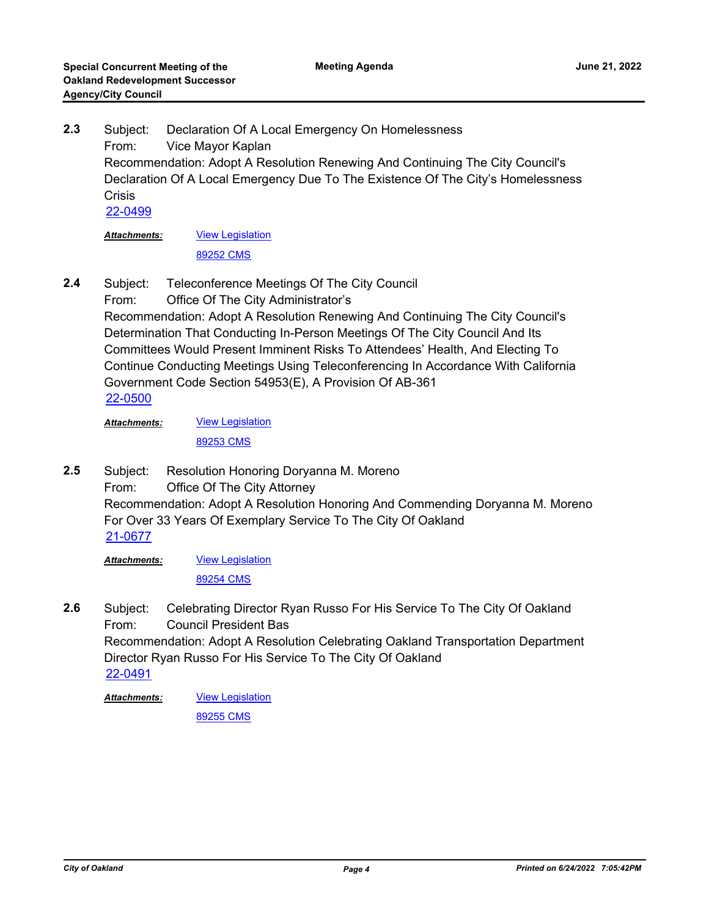Subject: Declaration Of A Local Emergency On Homelessness From: Vice Mayor Kaplan Recommendation: Adopt A Resolution Renewing And Continuing The City Council's Declaration Of A Local Emergency Due To The Existence Of The City's Homelessness **Crisis 2.3** [22-0499](http://oakland.legistar.com/gateway.aspx?m=l&id=/matter.aspx?key=33419)

[View Legislation](http://oakland.legistar.com/gateway.aspx?M=F&ID=963dca3c-35b0-45e7-97a7-af4509789ab2.PDF) [89252 CMS](http://oakland.legistar.com/gateway.aspx?M=F&ID=f012d807-3a11-470e-b4d3-683af274082e.pdf) *Attachments:*

Subject: Teleconference Meetings Of The City Council From: Office Of The City Administrator's Recommendation: Adopt A Resolution Renewing And Continuing The City Council's Determination That Conducting In-Person Meetings Of The City Council And Its Committees Would Present Imminent Risks To Attendees' Health, And Electing To Continue Conducting Meetings Using Teleconferencing In Accordance With California Government Code Section 54953(E), A Provision Of AB-361 **2.4** [22-0500](http://oakland.legistar.com/gateway.aspx?m=l&id=/matter.aspx?key=33420)

[View Legislation](http://oakland.legistar.com/gateway.aspx?M=F&ID=64aa4014-8516-41ea-83bf-bb95fda32fe6.pdf) [89253 CMS](http://oakland.legistar.com/gateway.aspx?M=F&ID=1a0fce7e-c785-4d0f-8e2d-5350100c0ca8.pdf) *Attachments:*

Subject: Resolution Honoring Doryanna M. Moreno From: Office Of The City Attorney Recommendation: Adopt A Resolution Honoring And Commending Doryanna M. Moreno For Over 33 Years Of Exemplary Service To The City Of Oakland **2.5** [21-0677](http://oakland.legistar.com/gateway.aspx?m=l&id=/matter.aspx?key=32602)

[View Legislation](http://oakland.legistar.com/gateway.aspx?M=F&ID=f39a6940-6391-4b06-8a1e-e8d96138a38b.PDF) *Attachments:*

[89254 CMS](http://oakland.legistar.com/gateway.aspx?M=F&ID=55de79a6-884a-44e0-b7ce-bd2936805a01.pdf)

Subject: Celebrating Director Ryan Russo For His Service To The City Of Oakland From: Council President Bas Recommendation: Adopt A Resolution Celebrating Oakland Transportation Department Director Ryan Russo For His Service To The City Of Oakland **2.6** [22-0491](http://oakland.legistar.com/gateway.aspx?m=l&id=/matter.aspx?key=33411)

**[View Legislation](http://oakland.legistar.com/gateway.aspx?M=F&ID=e5432156-914f-41d0-a4b7-d4087158d55b.PDF)** *Attachments:*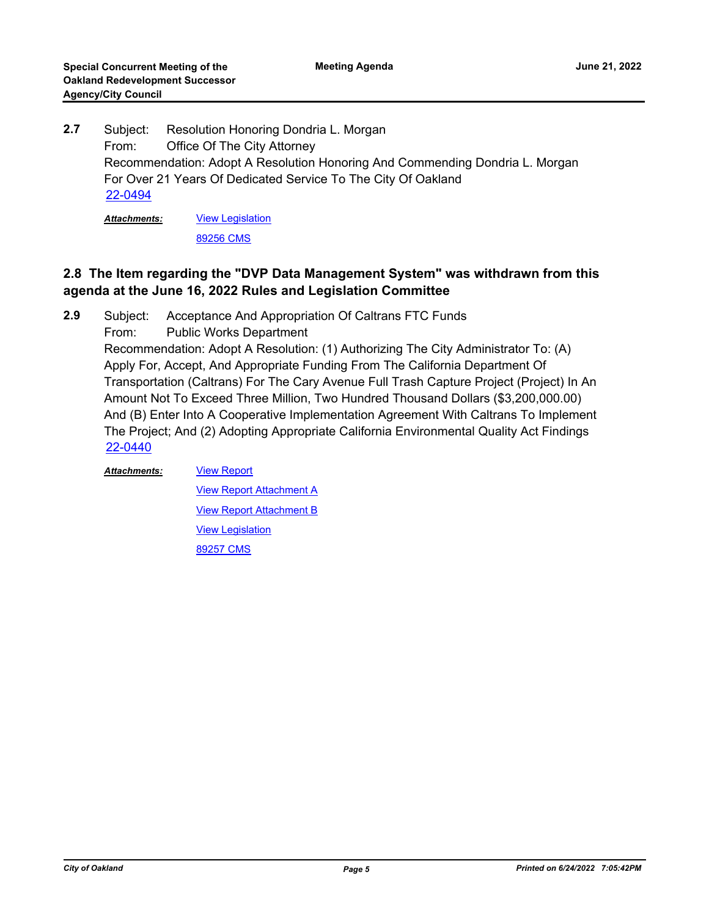Subject: Resolution Honoring Dondria L. Morgan From: Office Of The City Attorney Recommendation: Adopt A Resolution Honoring And Commending Dondria L. Morgan For Over 21 Years Of Dedicated Service To The City Of Oakland **2.7** [22-0494](http://oakland.legistar.com/gateway.aspx?m=l&id=/matter.aspx?key=33414)

[View Legislation](http://oakland.legistar.com/gateway.aspx?M=F&ID=dad35385-8c15-46bf-b1e3-ac7279363323.PDF) *Attachments:*

[89256 CMS](http://oakland.legistar.com/gateway.aspx?M=F&ID=bcca6145-cb81-433f-95c4-5fa5273087a3.pdf)

## **2.8 The Item regarding the "DVP Data Management System" was withdrawn from this agenda at the June 16, 2022 Rules and Legislation Committee**

Subject: Acceptance And Appropriation Of Caltrans FTC Funds **2.9**

From: Public Works Department

Recommendation: Adopt A Resolution: (1) Authorizing The City Administrator To: (A) Apply For, Accept, And Appropriate Funding From The California Department Of Transportation (Caltrans) For The Cary Avenue Full Trash Capture Project (Project) In An Amount Not To Exceed Three Million, Two Hundred Thousand Dollars (\$3,200,000.00) And (B) Enter Into A Cooperative Implementation Agreement With Caltrans To Implement The Project; And (2) Adopting Appropriate California Environmental Quality Act Findings [22-0440](http://oakland.legistar.com/gateway.aspx?m=l&id=/matter.aspx?key=33361)

#### *Attachments:*

**[View Report Attachment A](http://oakland.legistar.com/gateway.aspx?M=F&ID=016d66ea-83ba-48f8-8dac-87c9e586dea2.pdf)** [View Report Attachment B](http://oakland.legistar.com/gateway.aspx?M=F&ID=f15793a0-9db1-4113-ae81-9f453ee36a57.pdf) [View Legislation](http://oakland.legistar.com/gateway.aspx?M=F&ID=fdd8a0e7-1112-43f0-9365-8f7bd3e1b86e.pdf) [89257 CMS](http://oakland.legistar.com/gateway.aspx?M=F&ID=0b2ab4a5-6414-492a-83ac-f5fc937d327b.pdf)

[View Report](http://oakland.legistar.com/gateway.aspx?M=F&ID=c452d572-3d0b-430e-b259-59bb17b785e6.pdf)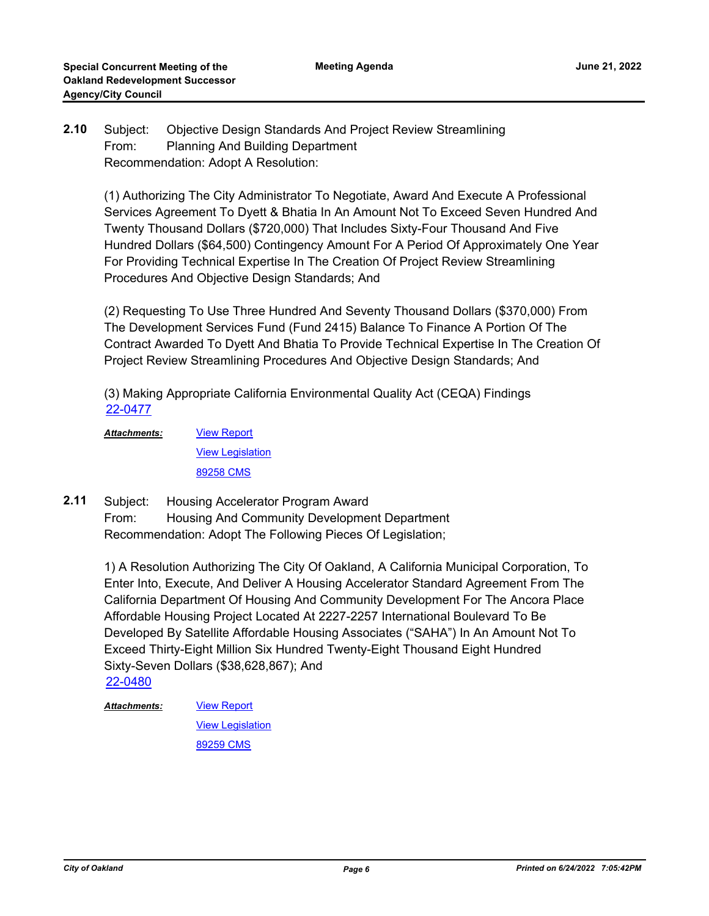#### Subject: Objective Design Standards And Project Review Streamlining From: Planning And Building Department Recommendation: Adopt A Resolution: **2.10**

(1) Authorizing The City Administrator To Negotiate, Award And Execute A Professional Services Agreement To Dyett & Bhatia In An Amount Not To Exceed Seven Hundred And Twenty Thousand Dollars (\$720,000) That Includes Sixty-Four Thousand And Five Hundred Dollars (\$64,500) Contingency Amount For A Period Of Approximately One Year For Providing Technical Expertise In The Creation Of Project Review Streamlining Procedures And Objective Design Standards; And

(2) Requesting To Use Three Hundred And Seventy Thousand Dollars (\$370,000) From The Development Services Fund (Fund 2415) Balance To Finance A Portion Of The Contract Awarded To Dyett And Bhatia To Provide Technical Expertise In The Creation Of Project Review Streamlining Procedures And Objective Design Standards; And

(3) Making Appropriate California Environmental Quality Act (CEQA) Findings [22-0477](http://oakland.legistar.com/gateway.aspx?m=l&id=/matter.aspx?key=33397)

[View Report](http://oakland.legistar.com/gateway.aspx?M=F&ID=80011738-9d97-46de-9639-0505139c81c5.pdf) **[View Legislation](http://oakland.legistar.com/gateway.aspx?M=F&ID=f3d78c2c-59e7-49be-b5ec-22f5a1e19930.pdf)** [89258 CMS](http://oakland.legistar.com/gateway.aspx?M=F&ID=284a5360-6ae4-4006-92df-af898b4f8f38.pdf) *Attachments:*

Subject: Housing Accelerator Program Award From: Housing And Community Development Department Recommendation: Adopt The Following Pieces Of Legislation; **2.11**

> 1) A Resolution Authorizing The City Of Oakland, A California Municipal Corporation, To Enter Into, Execute, And Deliver A Housing Accelerator Standard Agreement From The California Department Of Housing And Community Development For The Ancora Place Affordable Housing Project Located At 2227-2257 International Boulevard To Be Developed By Satellite Affordable Housing Associates ("SAHA") In An Amount Not To Exceed Thirty-Eight Million Six Hundred Twenty-Eight Thousand Eight Hundred Sixty-Seven Dollars (\$38,628,867); And [22-0480](http://oakland.legistar.com/gateway.aspx?m=l&id=/matter.aspx?key=33400)

[View Report](http://oakland.legistar.com/gateway.aspx?M=F&ID=dd84f083-a8f2-4aea-849d-6b4cad185d41.pdf) **[View Legislation](http://oakland.legistar.com/gateway.aspx?M=F&ID=d310c205-8264-4ef7-843a-6a31f07faf57.pdf)** [89259 CMS](http://oakland.legistar.com/gateway.aspx?M=F&ID=b2cc997b-2f09-4fda-bdef-f887007c3b6d.pdf) *Attachments:*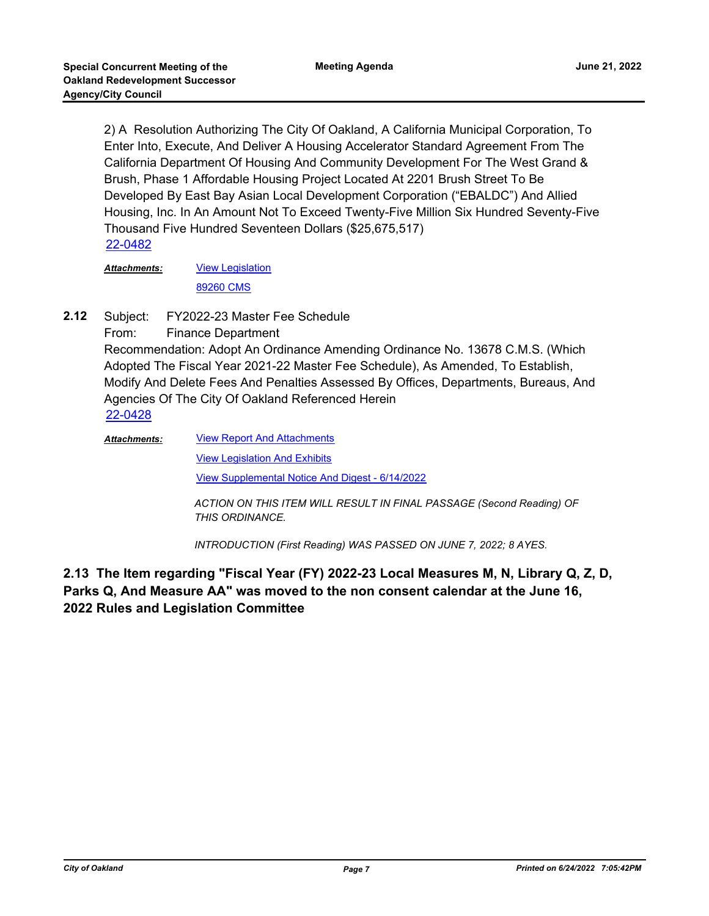2) A Resolution Authorizing The City Of Oakland, A California Municipal Corporation, To Enter Into, Execute, And Deliver A Housing Accelerator Standard Agreement From The California Department Of Housing And Community Development For The West Grand & Brush, Phase 1 Affordable Housing Project Located At 2201 Brush Street To Be Developed By East Bay Asian Local Development Corporation ("EBALDC") And Allied Housing, Inc. In An Amount Not To Exceed Twenty-Five Million Six Hundred Seventy-Five Thousand Five Hundred Seventeen Dollars (\$25,675,517) [22-0482](http://oakland.legistar.com/gateway.aspx?m=l&id=/matter.aspx?key=33402)

[View Legislation](http://oakland.legistar.com/gateway.aspx?M=F&ID=39b6a67b-a3a8-4967-8cfa-b081467bbce9.pdf) [89260 CMS](http://oakland.legistar.com/gateway.aspx?M=F&ID=c404c450-cd49-4656-a115-785174260284.pdf) *Attachments:*

Subject: FY2022-23 Master Fee Schedule **2.12**

From: Finance Department

Recommendation: Adopt An Ordinance Amending Ordinance No. 13678 C.M.S. (Which Adopted The Fiscal Year 2021-22 Master Fee Schedule), As Amended, To Establish, Modify And Delete Fees And Penalties Assessed By Offices, Departments, Bureaus, And Agencies Of The City Of Oakland Referenced Herein [22-0428](http://oakland.legistar.com/gateway.aspx?m=l&id=/matter.aspx?key=33349)

[View Report And Attachments](http://oakland.legistar.com/gateway.aspx?M=F&ID=9a78fb99-0936-4aa8-8dc3-bf3b273ad1b9.pdf) [View Legislation And Exhibits](http://oakland.legistar.com/gateway.aspx?M=F&ID=4eac7a33-a4dd-421f-95b2-bad7340456d7.pdf) [View Supplemental Notice And Digest - 6/14/2022](http://oakland.legistar.com/gateway.aspx?M=F&ID=76487b46-7713-4998-b0de-0a9eb4150d03.pdf) *Attachments:*

> *ACTION ON THIS ITEM WILL RESULT IN FINAL PASSAGE (Second Reading) OF THIS ORDINANCE.*

*INTRODUCTION (First Reading) WAS PASSED ON JUNE 7, 2022; 8 AYES.*

**2.13 The Item regarding "Fiscal Year (FY) 2022-23 Local Measures M, N, Library Q, Z, D, Parks Q, And Measure AA" was moved to the non consent calendar at the June 16, 2022 Rules and Legislation Committee**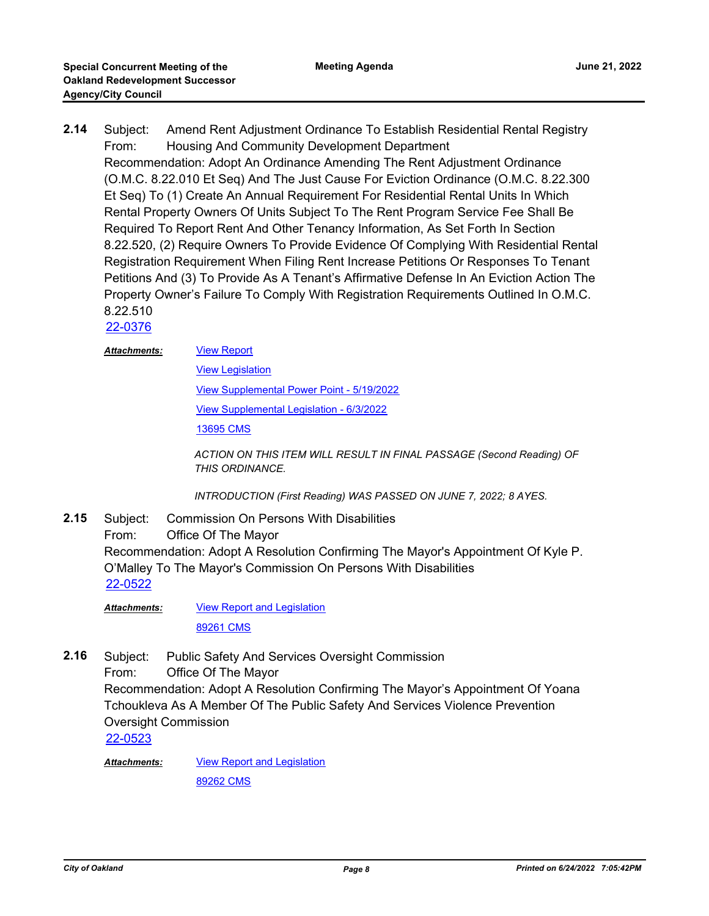Subject: Amend Rent Adjustment Ordinance To Establish Residential Rental Registry From: Housing And Community Development Department Recommendation: Adopt An Ordinance Amending The Rent Adjustment Ordinance (O.M.C. 8.22.010 Et Seq) And The Just Cause For Eviction Ordinance (O.M.C. 8.22.300 Et Seq) To (1) Create An Annual Requirement For Residential Rental Units In Which Rental Property Owners Of Units Subject To The Rent Program Service Fee Shall Be Required To Report Rent And Other Tenancy Information, As Set Forth In Section 8.22.520, (2) Require Owners To Provide Evidence Of Complying With Residential Rental Registration Requirement When Filing Rent Increase Petitions Or Responses To Tenant Petitions And (3) To Provide As A Tenant's Affirmative Defense In An Eviction Action The Property Owner's Failure To Comply With Registration Requirements Outlined In O.M.C. 8.22.510 **2.14** [22-0376](http://oakland.legistar.com/gateway.aspx?m=l&id=/matter.aspx?key=33297)

#### [View Report](http://oakland.legistar.com/gateway.aspx?M=F&ID=c4937fb0-c6c5-4555-aca8-e00019d019fd.pdf) *Attachments:*

[View Legislation](http://oakland.legistar.com/gateway.aspx?M=F&ID=01891bac-9595-448f-850c-566070d73580.PDF) [View Supplemental Power Point - 5/19/2022](http://oakland.legistar.com/gateway.aspx?M=F&ID=d1764194-7df1-4567-bbf8-0b7eaeb37a35.pdf) [View Supplemental Legislation - 6/3/2022](http://oakland.legistar.com/gateway.aspx?M=F&ID=ea0f8918-6535-402c-a903-8450d01efddc.pdf) [13695 CMS](http://oakland.legistar.com/gateway.aspx?M=F&ID=959ad2b3-10ed-4311-86a9-dd163c8cb1d3.pdf)

*ACTION ON THIS ITEM WILL RESULT IN FINAL PASSAGE (Second Reading) OF THIS ORDINANCE.*

*INTRODUCTION (First Reading) WAS PASSED ON JUNE 7, 2022; 8 AYES.*

Subject: Commission On Persons With Disabilities From: Office Of The Mayor Recommendation: Adopt A Resolution Confirming The Mayor's Appointment Of Kyle P. O'Malley To The Mayor's Commission On Persons With Disabilities **2.15** [22-0522](http://oakland.legistar.com/gateway.aspx?m=l&id=/matter.aspx?key=33442)

[View Report and Legislation](http://oakland.legistar.com/gateway.aspx?M=F&ID=268b73bd-b3c4-480d-b990-ffc8a05d7e70.pdf) [89261 CMS](http://oakland.legistar.com/gateway.aspx?M=F&ID=315c972c-2f52-4a38-b1f0-e145e6c15718.pdf) *Attachments:*

Subject: Public Safety And Services Oversight Commission From: Office Of The Mayor Recommendation: Adopt A Resolution Confirming The Mayor's Appointment Of Yoana Tchoukleva As A Member Of The Public Safety And Services Violence Prevention Oversight Commission **2.16** [22-0523](http://oakland.legistar.com/gateway.aspx?m=l&id=/matter.aspx?key=33443)

[View Report and Legislation](http://oakland.legistar.com/gateway.aspx?M=F&ID=fa0d7dfb-f807-4cd1-b4c5-9c9a0ace8f5e.pdf) *Attachments:*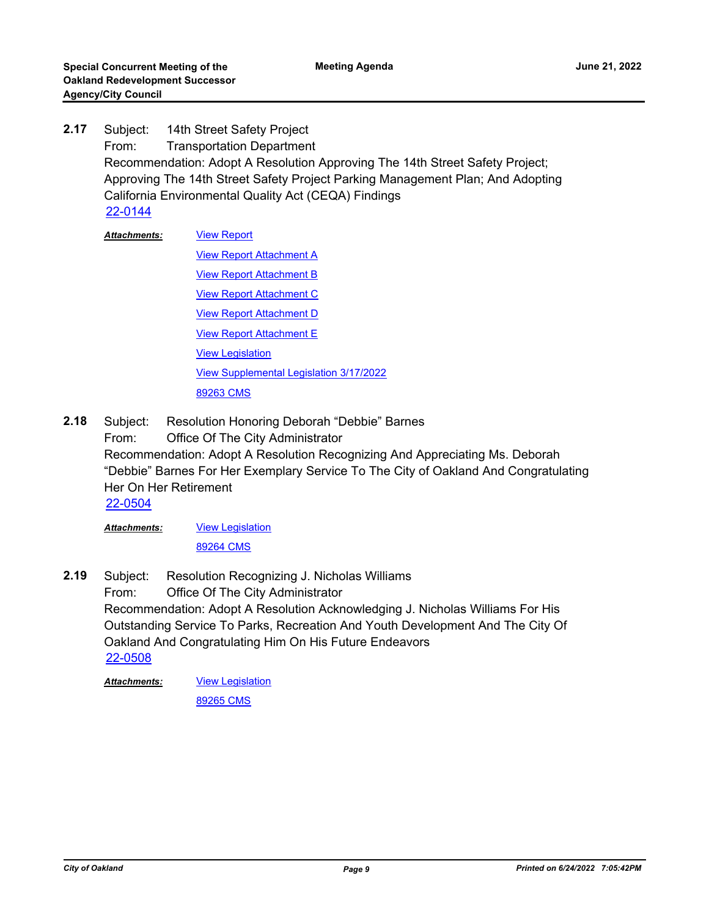- Subject: 14th Street Safety Project From: Transportation Department Recommendation: Adopt A Resolution Approving The 14th Street Safety Project; Approving The 14th Street Safety Project Parking Management Plan; And Adopting California Environmental Quality Act (CEQA) Findings **2.17** [22-0144](http://oakland.legistar.com/gateway.aspx?m=l&id=/matter.aspx?key=33065)
	- [View Report](http://oakland.legistar.com/gateway.aspx?M=F&ID=02b029bb-99a1-4c80-a5f9-df2cde233128.pdf) **[View Report Attachment A](http://oakland.legistar.com/gateway.aspx?M=F&ID=6e118806-a0eb-44ef-a614-19f68762a85f.pdf) [View Report Attachment B](http://oakland.legistar.com/gateway.aspx?M=F&ID=75648362-60d3-4d10-94d8-f5ec35e0a6ca.pdf)** [View Report Attachment C](http://oakland.legistar.com/gateway.aspx?M=F&ID=e3da08fa-b5a3-461a-bacd-ab12312eba08.pdf) [View Report Attachment D](http://oakland.legistar.com/gateway.aspx?M=F&ID=56e2e75c-c9ad-438d-84d6-f33d2e5966e8.pdf) [View Report Attachment E](http://oakland.legistar.com/gateway.aspx?M=F&ID=59f0dd1e-c218-4bbd-b741-9cadd0f570cf.pdf) [View Legislation](http://oakland.legistar.com/gateway.aspx?M=F&ID=bb922365-21ae-405f-956d-e4b3386322a5.pdf) [View Supplemental Legislation 3/17/2022](http://oakland.legistar.com/gateway.aspx?M=F&ID=de605945-8d88-444f-978b-101c4ce1941b.pdf) [89263 CMS](http://oakland.legistar.com/gateway.aspx?M=F&ID=b4b91547-2067-4ba2-84bd-ebc652d8eaa3.pdf) *Attachments:*
- Subject: Resolution Honoring Deborah "Debbie" Barnes From: Office Of The City Administrator Recommendation: Adopt A Resolution Recognizing And Appreciating Ms. Deborah "Debbie" Barnes For Her Exemplary Service To The City of Oakland And Congratulating Her On Her Retirement **2.18** [22-0504](http://oakland.legistar.com/gateway.aspx?m=l&id=/matter.aspx?key=33424)

**[View Legislation](http://oakland.legistar.com/gateway.aspx?M=F&ID=07eca831-27ff-4871-891b-b900b1d62a87.PDF)** *Attachments:*

[89264 CMS](http://oakland.legistar.com/gateway.aspx?M=F&ID=b317d3ad-e2cf-415b-9bdf-f928553b6c4a.pdf)

Subject: Resolution Recognizing J. Nicholas Williams From: Office Of The City Administrator Recommendation: Adopt A Resolution Acknowledging J. Nicholas Williams For His Outstanding Service To Parks, Recreation And Youth Development And The City Of Oakland And Congratulating Him On His Future Endeavors **2.19** [22-0508](http://oakland.legistar.com/gateway.aspx?m=l&id=/matter.aspx?key=33428)

**[View Legislation](http://oakland.legistar.com/gateway.aspx?M=F&ID=d74d23b9-5a76-4038-a14e-81ca18a3b5ab.PDF)** *Attachments:*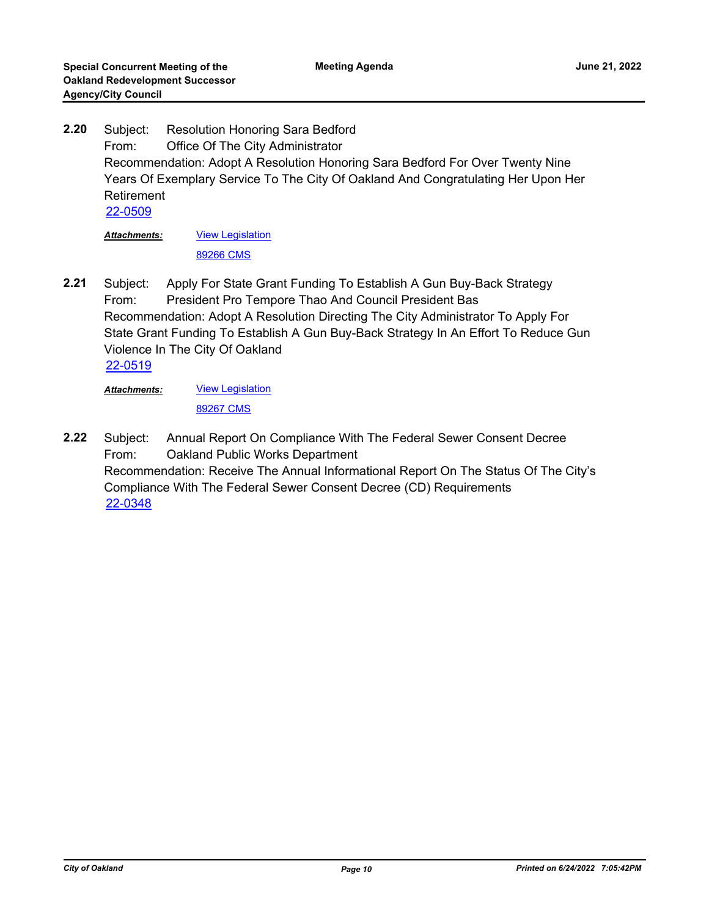Subject: Resolution Honoring Sara Bedford From: Office Of The City Administrator Recommendation: Adopt A Resolution Honoring Sara Bedford For Over Twenty Nine Years Of Exemplary Service To The City Of Oakland And Congratulating Her Upon Her Retirement **2.20** [22-0509](http://oakland.legistar.com/gateway.aspx?m=l&id=/matter.aspx?key=33429)

[View Legislation](http://oakland.legistar.com/gateway.aspx?M=F&ID=d37ec5f0-2f2e-4bfa-80ef-215ed80a2641.PDF) [89266 CMS](http://oakland.legistar.com/gateway.aspx?M=F&ID=e8c35717-63e0-4980-8c27-03426bd7aeb1.pdf) *Attachments:*

Subject: Apply For State Grant Funding To Establish A Gun Buy-Back Strategy From: President Pro Tempore Thao And Council President Bas Recommendation: Adopt A Resolution Directing The City Administrator To Apply For State Grant Funding To Establish A Gun Buy-Back Strategy In An Effort To Reduce Gun Violence In The City Of Oakland **2.21** [22-0519](http://oakland.legistar.com/gateway.aspx?m=l&id=/matter.aspx?key=33439)

[View Legislation](http://oakland.legistar.com/gateway.aspx?M=F&ID=955530db-1fae-4b10-be4c-47917cf07034.DOCX) [89267 CMS](http://oakland.legistar.com/gateway.aspx?M=F&ID=7a841879-843b-4aba-a269-e1a77c60d93f.pdf) *Attachments:*

Subject: Annual Report On Compliance With The Federal Sewer Consent Decree From: Oakland Public Works Department Recommendation: Receive The Annual Informational Report On The Status Of The City's Compliance With The Federal Sewer Consent Decree (CD) Requirements **2.22** [22-0348](http://oakland.legistar.com/gateway.aspx?m=l&id=/matter.aspx?key=33269)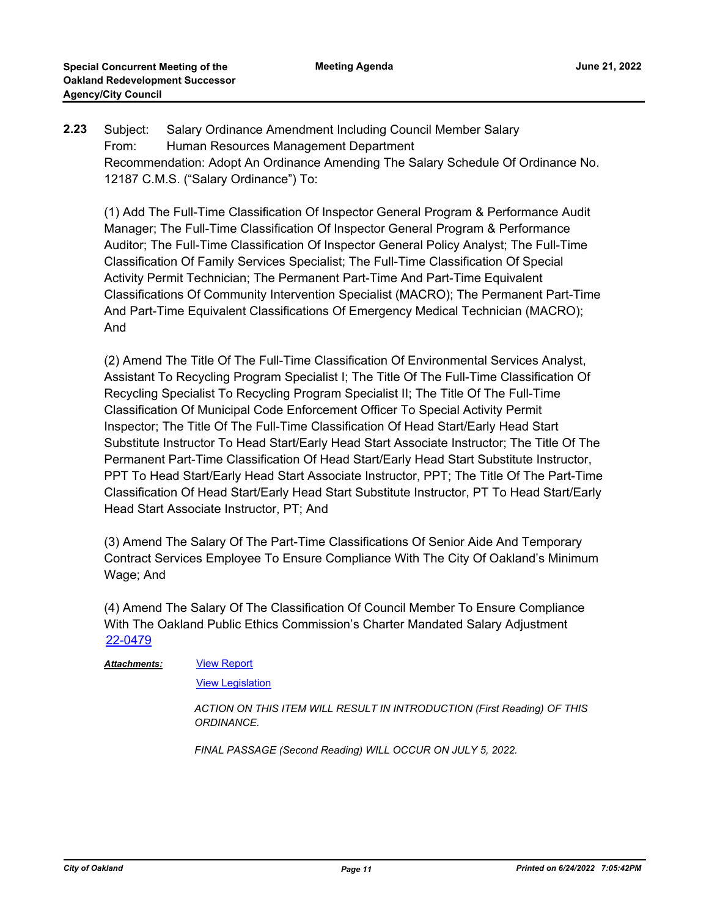Subject: Salary Ordinance Amendment Including Council Member Salary From: Human Resources Management Department Recommendation: Adopt An Ordinance Amending The Salary Schedule Of Ordinance No. 12187 C.M.S. ("Salary Ordinance") To: **2.23**

(1) Add The Full-Time Classification Of Inspector General Program & Performance Audit Manager; The Full-Time Classification Of Inspector General Program & Performance Auditor; The Full-Time Classification Of Inspector General Policy Analyst; The Full-Time Classification Of Family Services Specialist; The Full-Time Classification Of Special Activity Permit Technician; The Permanent Part-Time And Part-Time Equivalent Classifications Of Community Intervention Specialist (MACRO); The Permanent Part-Time And Part-Time Equivalent Classifications Of Emergency Medical Technician (MACRO); And

(2) Amend The Title Of The Full-Time Classification Of Environmental Services Analyst, Assistant To Recycling Program Specialist I; The Title Of The Full-Time Classification Of Recycling Specialist To Recycling Program Specialist II; The Title Of The Full-Time Classification Of Municipal Code Enforcement Officer To Special Activity Permit Inspector; The Title Of The Full-Time Classification Of Head Start/Early Head Start Substitute Instructor To Head Start/Early Head Start Associate Instructor; The Title Of The Permanent Part-Time Classification Of Head Start/Early Head Start Substitute Instructor, PPT To Head Start/Early Head Start Associate Instructor, PPT; The Title Of The Part-Time Classification Of Head Start/Early Head Start Substitute Instructor, PT To Head Start/Early Head Start Associate Instructor, PT; And

(3) Amend The Salary Of The Part-Time Classifications Of Senior Aide And Temporary Contract Services Employee To Ensure Compliance With The City Of Oakland's Minimum Wage; And

(4) Amend The Salary Of The Classification Of Council Member To Ensure Compliance With The Oakland Public Ethics Commission's Charter Mandated Salary Adjustment [22-0479](http://oakland.legistar.com/gateway.aspx?m=l&id=/matter.aspx?key=33399)

*Attachments:*

[View Report](http://oakland.legistar.com/gateway.aspx?M=F&ID=894cab6d-1733-4ce9-869e-927434a85810.pdf)

**[View Legislation](http://oakland.legistar.com/gateway.aspx?M=F&ID=4b3d365b-c47c-4620-a70a-c9b900c432d4.pdf)** 

*ACTION ON THIS ITEM WILL RESULT IN INTRODUCTION (First Reading) OF THIS ORDINANCE.* 

*FINAL PASSAGE (Second Reading) WILL OCCUR ON JULY 5, 2022.*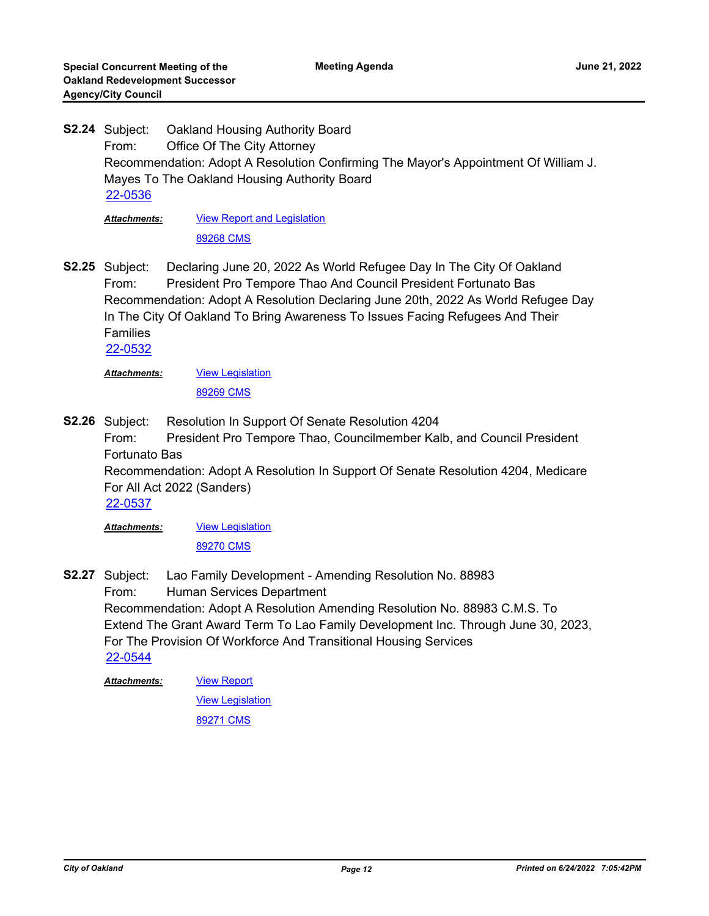Oakland Housing Authority Board From: Office Of The City Attorney Recommendation: Adopt A Resolution Confirming The Mayor's Appointment Of William J. Mayes To The Oakland Housing Authority Board **S2.24** [22-0536](http://oakland.legistar.com/gateway.aspx?m=l&id=/matter.aspx?key=33456)

[View Report and Legislation](http://oakland.legistar.com/gateway.aspx?M=F&ID=5fea003c-4e0b-4162-bf47-120338a4fa60.pdf) [89268 CMS](http://oakland.legistar.com/gateway.aspx?M=F&ID=c777a527-c745-451d-ab9c-0d68622d9472.pdf) *Attachments:*

Declaring June 20, 2022 As World Refugee Day In The City Of Oakland From: President Pro Tempore Thao And Council President Fortunato Bas Recommendation: Adopt A Resolution Declaring June 20th, 2022 As World Refugee Day In The City Of Oakland To Bring Awareness To Issues Facing Refugees And Their Families **S2.25**

[22-0532](http://oakland.legistar.com/gateway.aspx?m=l&id=/matter.aspx?key=33452)

[View Legislation](http://oakland.legistar.com/gateway.aspx?M=F&ID=6ba1ee01-8488-42a4-8682-15fb89e4fad8.pdf) [89269 CMS](http://oakland.legistar.com/gateway.aspx?M=F&ID=aee42bb5-4ad7-48de-9829-e123926a6c09.pdf) *Attachments:*

Resolution In Support Of Senate Resolution 4204 From: President Pro Tempore Thao, Councilmember Kalb, and Council President Fortunato Bas Recommendation: Adopt A Resolution In Support Of Senate Resolution 4204, Medicare For All Act 2022 (Sanders) **S2.26** [22-0537](http://oakland.legistar.com/gateway.aspx?m=l&id=/matter.aspx?key=33457)

**[View Legislation](http://oakland.legistar.com/gateway.aspx?M=F&ID=f94c6982-2e0e-4a7f-878b-bb98e9db4ac8.pdf)** *Attachments:*

[89270 CMS](http://oakland.legistar.com/gateway.aspx?M=F&ID=50176eb9-8ad2-42c2-a4aa-50a5db69f242.pdf)

Lao Family Development - Amending Resolution No. 88983 From: Human Services Department Recommendation: Adopt A Resolution Amending Resolution No. 88983 C.M.S. To Extend The Grant Award Term To Lao Family Development Inc. Through June 30, 2023, For The Provision Of Workforce And Transitional Housing Services **S2.27** [22-0544](http://oakland.legistar.com/gateway.aspx?m=l&id=/matter.aspx?key=33464)

[View Report](http://oakland.legistar.com/gateway.aspx?M=F&ID=a4e23cf6-79a8-40ea-b4e6-fd62e9ea2f3e.pdf) *Attachments:*

**[View Legislation](http://oakland.legistar.com/gateway.aspx?M=F&ID=a661b724-beca-4f0a-b098-2c24b6b15e7a.PDF)**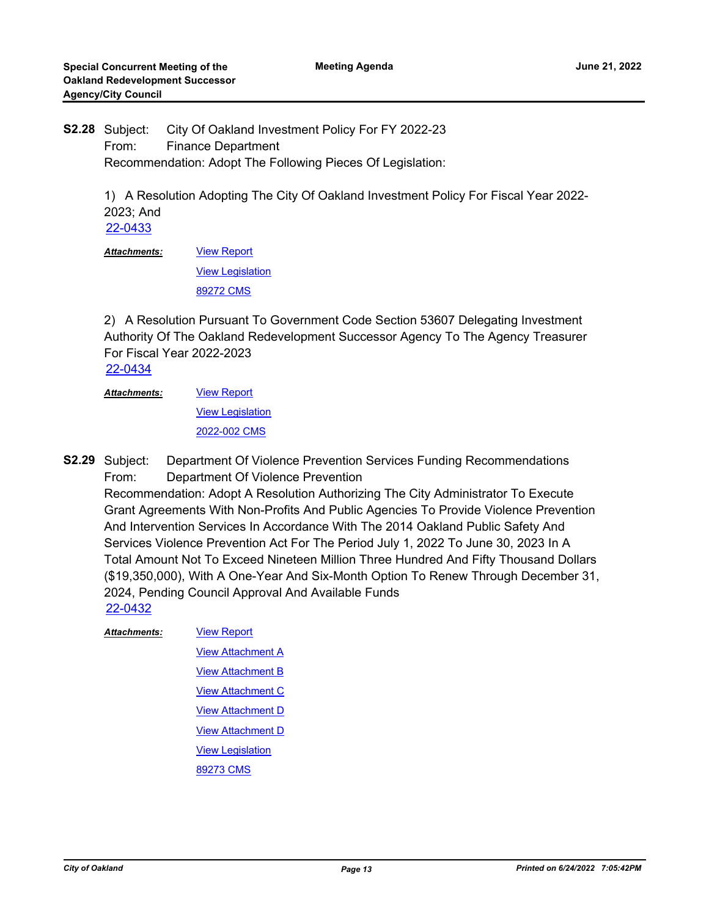City Of Oakland Investment Policy For FY 2022-23 From: Finance Department Recommendation: Adopt The Following Pieces Of Legislation: **S2.28**

> 1) A Resolution Adopting The City Of Oakland Investment Policy For Fiscal Year 2022- 2023; And [22-0433](http://oakland.legistar.com/gateway.aspx?m=l&id=/matter.aspx?key=33354)

[View Report](http://oakland.legistar.com/gateway.aspx?M=F&ID=3bed2c84-7afe-48ba-9bed-5b52465da0ac.pdf) [View Legislation](http://oakland.legistar.com/gateway.aspx?M=F&ID=ffd8061c-12b3-465e-b1b8-0f3bd157064b.PDF) [89272 CMS](http://oakland.legistar.com/gateway.aspx?M=F&ID=69611ee9-e2cd-49d8-bba9-2a67928c49f8.pdf) *Attachments:*

2) A Resolution Pursuant To Government Code Section 53607 Delegating Investment Authority Of The Oakland Redevelopment Successor Agency To The Agency Treasurer For Fiscal Year 2022-2023

[22-0434](http://oakland.legistar.com/gateway.aspx?m=l&id=/matter.aspx?key=33355)

[View Report](http://oakland.legistar.com/gateway.aspx?M=F&ID=781325d0-cc5e-4341-bd2f-4105e6c05af5.pdf) [View Legislation](http://oakland.legistar.com/gateway.aspx?M=F&ID=d07972e6-f2e3-4ec3-9b6e-6bf7c79c4605.PDF) [2022-002 CMS](http://oakland.legistar.com/gateway.aspx?M=F&ID=f7a4e435-79c3-4ab1-9bfa-a285e900fa89.pdf) *Attachments:*

Department Of Violence Prevention Services Funding Recommendations From: Department Of Violence Prevention Recommendation: Adopt A Resolution Authorizing The City Administrator To Execute Grant Agreements With Non-Profits And Public Agencies To Provide Violence Prevention **S2.29**

And Intervention Services In Accordance With The 2014 Oakland Public Safety And Services Violence Prevention Act For The Period July 1, 2022 To June 30, 2023 In A Total Amount Not To Exceed Nineteen Million Three Hundred And Fifty Thousand Dollars (\$19,350,000), With A One-Year And Six-Month Option To Renew Through December 31, 2024, Pending Council Approval And Available Funds

[22-0432](http://oakland.legistar.com/gateway.aspx?m=l&id=/matter.aspx?key=33353)

[View Report](http://oakland.legistar.com/gateway.aspx?M=F&ID=fcb36ef4-aa02-4b4b-b3d6-177cfb450f0d.pdf) [View Attachment A](http://oakland.legistar.com/gateway.aspx?M=F&ID=89294289-2d48-4718-b5ae-75160dc81571.pdf) [View Attachment B](http://oakland.legistar.com/gateway.aspx?M=F&ID=253a77a6-9637-4c7d-b173-e144c94fe590.pdf) **[View Attachment C](http://oakland.legistar.com/gateway.aspx?M=F&ID=f4f73e58-c3da-4d6c-8db0-eba81933f558.pdf)** [View Attachment D](http://oakland.legistar.com/gateway.aspx?M=F&ID=2ba78b1c-bdc6-4140-b0cf-ffc8cdb2092a.pdf) [View Attachment D](http://oakland.legistar.com/gateway.aspx?M=F&ID=0f8b8d26-2f47-4312-a0bf-ec7a8cd2dde7.pdf) [View Legislation](http://oakland.legistar.com/gateway.aspx?M=F&ID=f64658f7-693a-4500-acdc-9e3861830fa8.pdf) [89273 CMS](http://oakland.legistar.com/gateway.aspx?M=F&ID=190559cf-e8ba-4257-a513-5466fc3dfbfb.pdf) *Attachments:*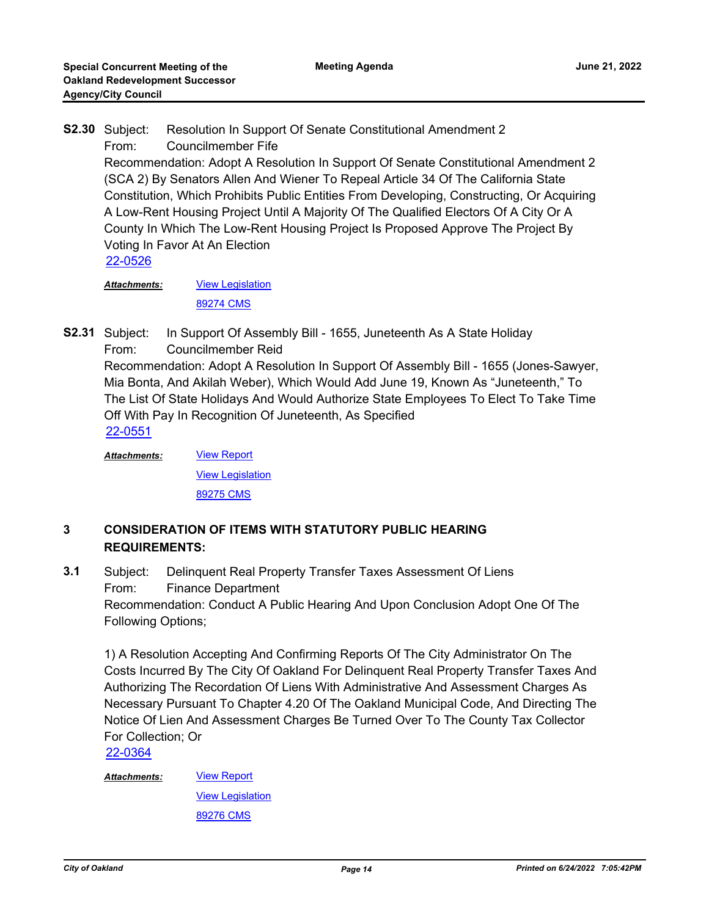Resolution In Support Of Senate Constitutional Amendment 2 From: Councilmember Fife Recommendation: Adopt A Resolution In Support Of Senate Constitutional Amendment 2 (SCA 2) By Senators Allen And Wiener To Repeal Article 34 Of The California State Constitution, Which Prohibits Public Entities From Developing, Constructing, Or Acquiring A Low-Rent Housing Project Until A Majority Of The Qualified Electors Of A City Or A County In Which The Low-Rent Housing Project Is Proposed Approve The Project By Voting In Favor At An Election **S2.30** [22-0526](http://oakland.legistar.com/gateway.aspx?m=l&id=/matter.aspx?key=33446)

**[View Legislation](http://oakland.legistar.com/gateway.aspx?M=F&ID=8e9075bf-9401-42ea-af82-a3c8ee4ae7a6.pdf)** [89274 CMS](http://oakland.legistar.com/gateway.aspx?M=F&ID=20fbf989-7113-49ef-8156-aa657b0c6520.pdf) *Attachments:*

In Support Of Assembly Bill - 1655, Juneteenth As A State Holiday From: Councilmember Reid Recommendation: Adopt A Resolution In Support Of Assembly Bill - 1655 (Jones-Sawyer, Mia Bonta, And Akilah Weber), Which Would Add June 19, Known As "Juneteenth," To The List Of State Holidays And Would Authorize State Employees To Elect To Take Time Off With Pay In Recognition Of Juneteenth, As Specified **S2.31** [22-0551](http://oakland.legistar.com/gateway.aspx?m=l&id=/matter.aspx?key=33471)

[View Report](http://oakland.legistar.com/gateway.aspx?M=F&ID=e5d6d264-5be0-4d5e-9f00-cb5ecb92e211.pdf) **[View Legislation](http://oakland.legistar.com/gateway.aspx?M=F&ID=d3232072-a603-4797-98b8-7f549c5d6729.pdf)** [89275 CMS](http://oakland.legistar.com/gateway.aspx?M=F&ID=dd698068-f77a-416f-bb07-de694634b3b2.pdf) *Attachments:*

## **3 CONSIDERATION OF ITEMS WITH STATUTORY PUBLIC HEARING REQUIREMENTS:**

Subject: Delinquent Real Property Transfer Taxes Assessment Of Liens From: Finance Department Recommendation: Conduct A Public Hearing And Upon Conclusion Adopt One Of The Following Options; **3.1**

1) A Resolution Accepting And Confirming Reports Of The City Administrator On The Costs Incurred By The City Of Oakland For Delinquent Real Property Transfer Taxes And Authorizing The Recordation Of Liens With Administrative And Assessment Charges As Necessary Pursuant To Chapter 4.20 Of The Oakland Municipal Code, And Directing The Notice Of Lien And Assessment Charges Be Turned Over To The County Tax Collector For Collection; Or

[22-0364](http://oakland.legistar.com/gateway.aspx?m=l&id=/matter.aspx?key=33285)

*Attachments:*

**[View Legislation](http://oakland.legistar.com/gateway.aspx?M=F&ID=fb3fa6ae-c16b-457d-85cf-598f97b6095f.pdf)** [89276 CMS](http://oakland.legistar.com/gateway.aspx?M=F&ID=e4e123ed-cd9d-4edc-af68-94fd1874fbf9.pdf)

[View Report](http://oakland.legistar.com/gateway.aspx?M=F&ID=3723d9d4-15cc-4612-b8dd-52f9c12a26a1.pdf)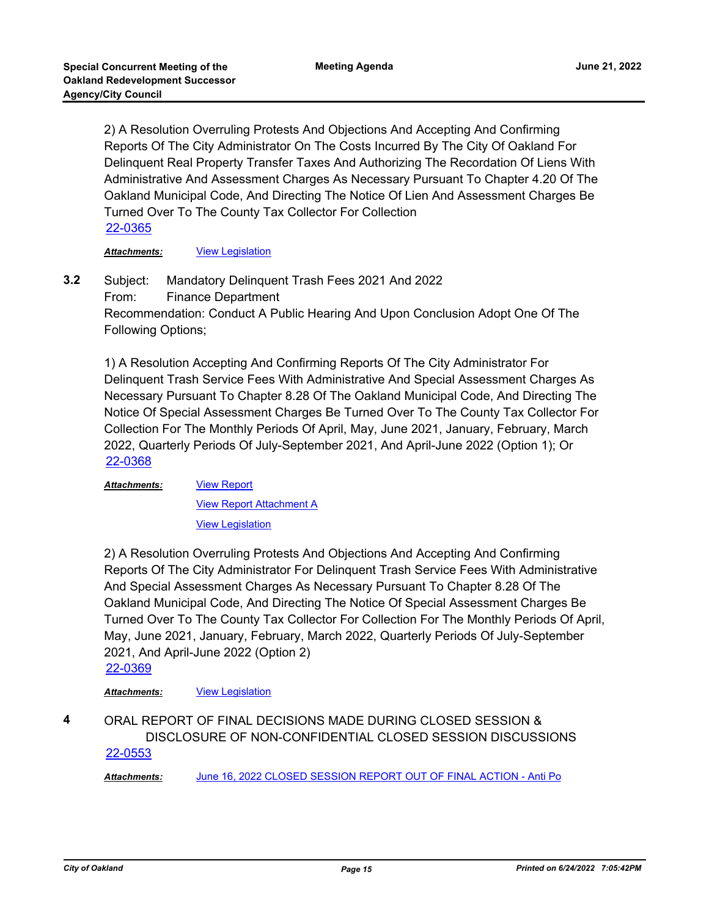2) A Resolution Overruling Protests And Objections And Accepting And Confirming Reports Of The City Administrator On The Costs Incurred By The City Of Oakland For Delinquent Real Property Transfer Taxes And Authorizing The Recordation Of Liens With Administrative And Assessment Charges As Necessary Pursuant To Chapter 4.20 Of The Oakland Municipal Code, And Directing The Notice Of Lien And Assessment Charges Be Turned Over To The County Tax Collector For Collection [22-0365](http://oakland.legistar.com/gateway.aspx?m=l&id=/matter.aspx?key=33286)

*Attachments:* [View Legislation](http://oakland.legistar.com/gateway.aspx?M=F&ID=6158da17-b231-4e1e-b30f-3adec49d6b61.pdf)

Subject: Mandatory Delinquent Trash Fees 2021 And 2022 From: Finance Department Recommendation: Conduct A Public Hearing And Upon Conclusion Adopt One Of The Following Options; **3.2**

1) A Resolution Accepting And Confirming Reports Of The City Administrator For Delinquent Trash Service Fees With Administrative And Special Assessment Charges As Necessary Pursuant To Chapter 8.28 Of The Oakland Municipal Code, And Directing The Notice Of Special Assessment Charges Be Turned Over To The County Tax Collector For Collection For The Monthly Periods Of April, May, June 2021, January, February, March 2022, Quarterly Periods Of July-September 2021, And April-June 2022 (Option 1); Or [22-0368](http://oakland.legistar.com/gateway.aspx?m=l&id=/matter.aspx?key=33289)

*Attachments:*

[View Report Attachment A](http://oakland.legistar.com/gateway.aspx?M=F&ID=c586531f-eb9c-4ce7-9eb1-e8befe0c8fbe.pdf) [View Legislation](http://oakland.legistar.com/gateway.aspx?M=F&ID=57d731ed-3dbd-440d-b073-15893402093b.pdf)

[View Report](http://oakland.legistar.com/gateway.aspx?M=F&ID=d5bb0cbe-aba1-47eb-a867-55f2f131f2e7.pdf)

2) A Resolution Overruling Protests And Objections And Accepting And Confirming Reports Of The City Administrator For Delinquent Trash Service Fees With Administrative And Special Assessment Charges As Necessary Pursuant To Chapter 8.28 Of The Oakland Municipal Code, And Directing The Notice Of Special Assessment Charges Be Turned Over To The County Tax Collector For Collection For The Monthly Periods Of April, May, June 2021, January, February, March 2022, Quarterly Periods Of July-September 2021, And April-June 2022 (Option 2)

[22-0369](http://oakland.legistar.com/gateway.aspx?m=l&id=/matter.aspx?key=33290)

#### *Attachments:* [View Legislation](http://oakland.legistar.com/gateway.aspx?M=F&ID=17fa4f84-f94c-4a57-b505-311090653680.pdf)

ORAL REPORT OF FINAL DECISIONS MADE DURING CLOSED SESSION & DISCLOSURE OF NON-CONFIDENTIAL CLOSED SESSION DISCUSSIONS **4** [22-0553](http://oakland.legistar.com/gateway.aspx?m=l&id=/matter.aspx?key=33473)

*Attachments:* [June 16, 2022 CLOSED SESSION REPORT OUT OF FINAL ACTION - Anti Po](http://oakland.legistar.com/gateway.aspx?M=F&ID=a848bcc0-a17c-46f8-b281-9655fb64b019.PDF)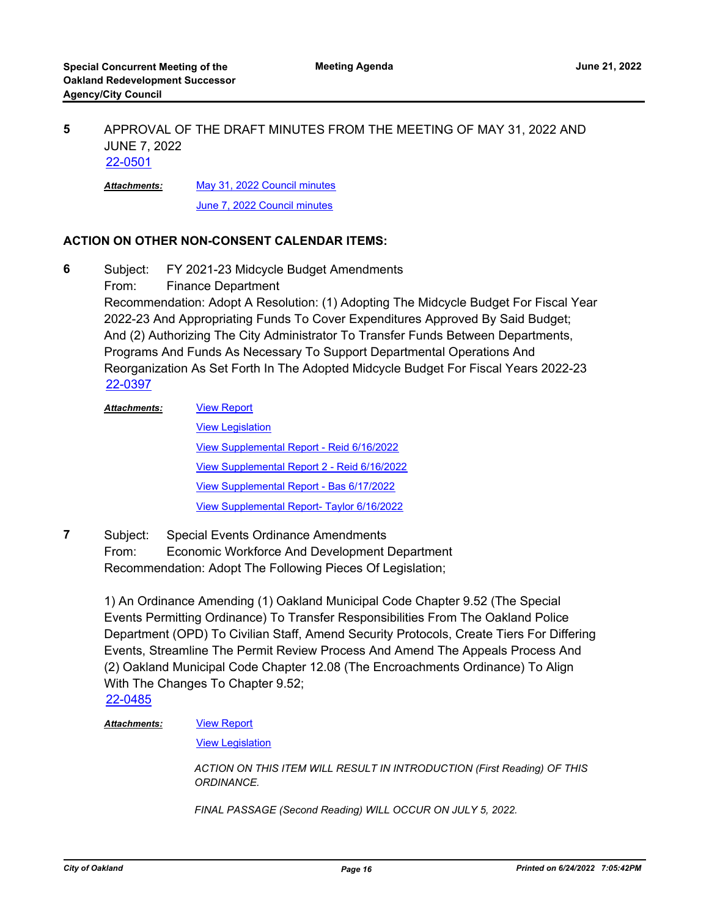#### APPROVAL OF THE DRAFT MINUTES FROM THE MEETING OF MAY 31, 2022 AND JUNE 7, 2022 **5** [22-0501](http://oakland.legistar.com/gateway.aspx?m=l&id=/matter.aspx?key=33421)

[May 31, 2022 Council minutes](http://oakland.legistar.com/gateway.aspx?M=F&ID=c311734f-6a4f-491a-a4fa-6772a049d055.pdf) *Attachments:*

[June 7, 2022 Council minutes](http://oakland.legistar.com/gateway.aspx?M=F&ID=932f10ae-8583-49c6-83bc-d68c05bf2c12.pdf)

### **ACTION ON OTHER NON-CONSENT CALENDAR ITEMS:**

Subject: FY 2021-23 Midcycle Budget Amendments From: Finance Department Recommendation: Adopt A Resolution: (1) Adopting The Midcycle Budget For Fiscal Year **6**

2022-23 And Appropriating Funds To Cover Expenditures Approved By Said Budget; And (2) Authorizing The City Administrator To Transfer Funds Between Departments, Programs And Funds As Necessary To Support Departmental Operations And Reorganization As Set Forth In The Adopted Midcycle Budget For Fiscal Years 2022-23 [22-0397](http://oakland.legistar.com/gateway.aspx?m=l&id=/matter.aspx?key=33318)

- [View Report](http://oakland.legistar.com/gateway.aspx?M=F&ID=ccf0d2c6-b74f-41fa-a025-c9568ffd86af.pdf) [View Legislation](http://oakland.legistar.com/gateway.aspx?M=F&ID=8156e1e1-245f-4d2a-845d-d0aced4eab0a.pdf) [View Supplemental Report - Reid 6/16/2022](http://oakland.legistar.com/gateway.aspx?M=F&ID=24d1d0a7-171d-4740-bf76-04c8f853ee39.pdf) [View Supplemental Report 2 - Reid 6/16/2022](http://oakland.legistar.com/gateway.aspx?M=F&ID=1895dc9d-1c84-4e11-85da-4dbea4edeaa2.pdf) [View Supplemental Report - Bas 6/17/2022](http://oakland.legistar.com/gateway.aspx?M=F&ID=1e6bcbca-842a-4432-90ff-35adddc4fb6c.pdf) [View Supplemental Report- Taylor 6/16/2022](http://oakland.legistar.com/gateway.aspx?M=F&ID=9173ad71-0ac2-48dc-a741-b455329c1e29.pdf) *Attachments:*
- Subject: Special Events Ordinance Amendments From: Economic Workforce And Development Department Recommendation: Adopt The Following Pieces Of Legislation; **7**

1) An Ordinance Amending (1) Oakland Municipal Code Chapter 9.52 (The Special Events Permitting Ordinance) To Transfer Responsibilities From The Oakland Police Department (OPD) To Civilian Staff, Amend Security Protocols, Create Tiers For Differing Events, Streamline The Permit Review Process And Amend The Appeals Process And (2) Oakland Municipal Code Chapter 12.08 (The Encroachments Ordinance) To Align With The Changes To Chapter 9.52;

[22-0485](http://oakland.legistar.com/gateway.aspx?m=l&id=/matter.aspx?key=33405)

#### [View Report](http://oakland.legistar.com/gateway.aspx?M=F&ID=1cafe72c-7ca1-4f3f-b08b-1a87a1c7838e.pdf) *Attachments:*

[View Legislation](http://oakland.legistar.com/gateway.aspx?M=F&ID=f4a5878c-d960-4263-b26c-75299a69490c.PDF)

*ACTION ON THIS ITEM WILL RESULT IN INTRODUCTION (First Reading) OF THIS ORDINANCE.* 

*FINAL PASSAGE (Second Reading) WILL OCCUR ON JULY 5, 2022.*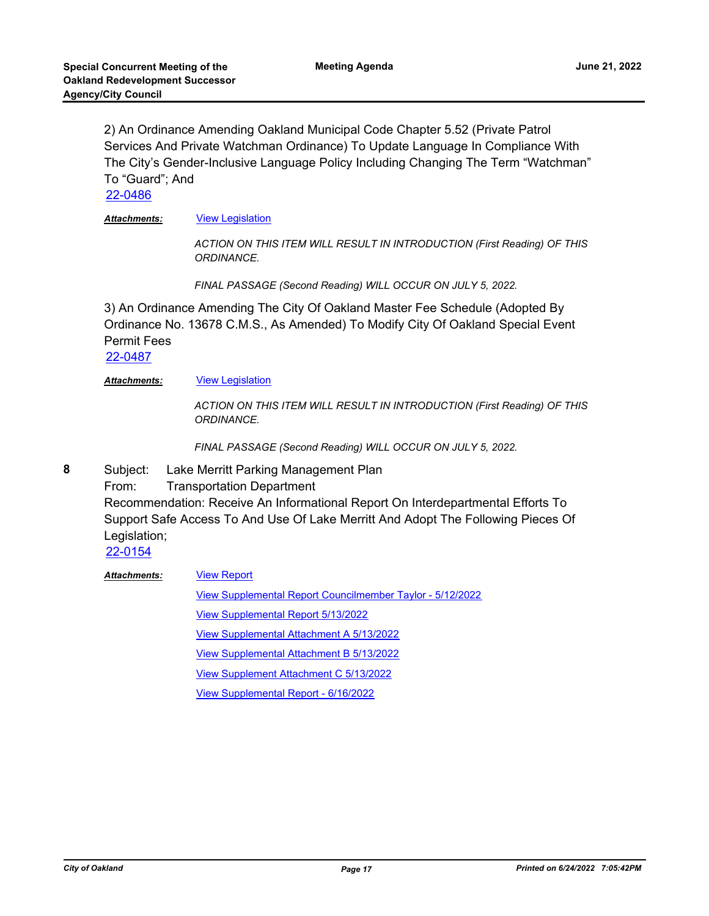2) An Ordinance Amending Oakland Municipal Code Chapter 5.52 (Private Patrol Services And Private Watchman Ordinance) To Update Language In Compliance With The City's Gender-Inclusive Language Policy Including Changing The Term "Watchman" To "Guard"; And

[22-0486](http://oakland.legistar.com/gateway.aspx?m=l&id=/matter.aspx?key=33406)

*Attachments:* [View Legislation](http://oakland.legistar.com/gateway.aspx?M=F&ID=ea8ff6a0-63bc-469a-9506-bc51c9194683.pdf)

*ACTION ON THIS ITEM WILL RESULT IN INTRODUCTION (First Reading) OF THIS ORDINANCE.* 

*FINAL PASSAGE (Second Reading) WILL OCCUR ON JULY 5, 2022.*

3) An Ordinance Amending The City Of Oakland Master Fee Schedule (Adopted By Ordinance No. 13678 C.M.S., As Amended) To Modify City Of Oakland Special Event Permit Fees

[22-0487](http://oakland.legistar.com/gateway.aspx?m=l&id=/matter.aspx?key=33407)

#### **Attachments: [View Legislation](http://oakland.legistar.com/gateway.aspx?M=F&ID=178f82e7-f15a-4c7b-8b80-76912d00214e.PDF)**

*ACTION ON THIS ITEM WILL RESULT IN INTRODUCTION (First Reading) OF THIS ORDINANCE.* 

*FINAL PASSAGE (Second Reading) WILL OCCUR ON JULY 5, 2022.*

Subject: Lake Merritt Parking Management Plan **8**

From: Transportation Department

Recommendation: Receive An Informational Report On Interdepartmental Efforts To Support Safe Access To And Use Of Lake Merritt And Adopt The Following Pieces Of Legislation;

[22-0154](http://oakland.legistar.com/gateway.aspx?m=l&id=/matter.aspx?key=33075)

[View Report](http://oakland.legistar.com/gateway.aspx?M=F&ID=d8767a19-d88f-4b59-a93a-a2bd23d91ecc.pdf) *Attachments:*

[View Supplemental Report Councilmember Taylor - 5/12/2022](http://oakland.legistar.com/gateway.aspx?M=F&ID=ee358695-d88d-4bed-a84d-a98062f16044.pdf)

[View Supplemental Report 5/13/2022](http://oakland.legistar.com/gateway.aspx?M=F&ID=539ea716-b5b9-408e-bb40-f64f18c909ed.pdf)

[View Supplemental Attachment A 5/13/2022](http://oakland.legistar.com/gateway.aspx?M=F&ID=9ea7fd98-d660-45ba-b174-7be2bd86f42d.pdf)

[View Supplemental Attachment B 5/13/2022](http://oakland.legistar.com/gateway.aspx?M=F&ID=47bdb8d3-ebe3-4b17-9023-f6fc7276b261.pdf)

[View Supplement Attachment C 5/13/2022](http://oakland.legistar.com/gateway.aspx?M=F&ID=16aa233d-68f3-4708-bc0d-72aaaade3a52.pdf)

[View Supplemental Report - 6/16/2022](http://oakland.legistar.com/gateway.aspx?M=F&ID=d37c9155-11af-4b03-9de1-11422b744208.pdf)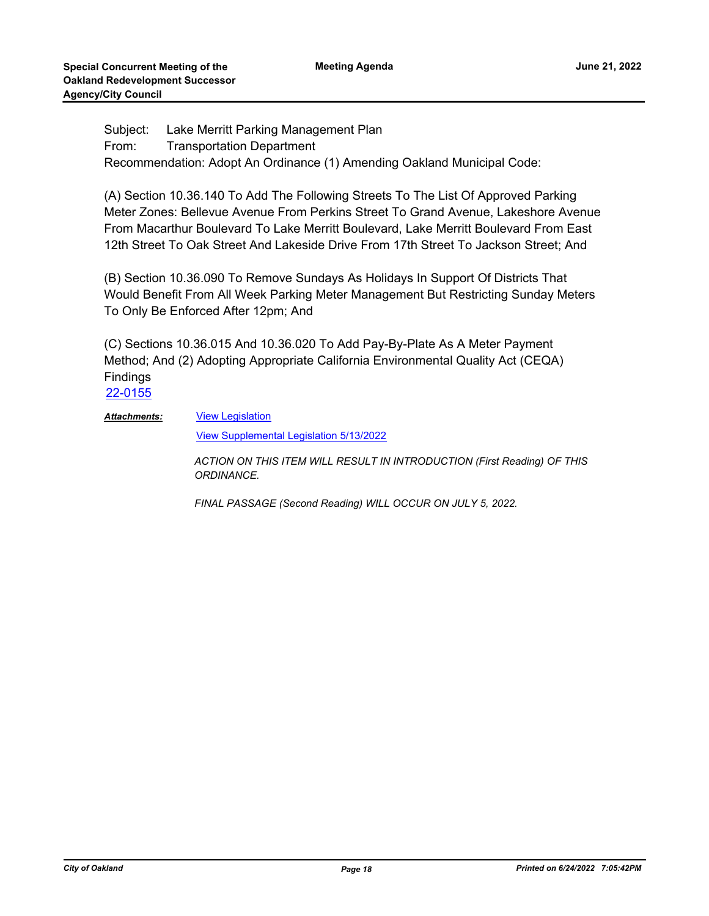Subject: Lake Merritt Parking Management Plan From: Transportation Department Recommendation: Adopt An Ordinance (1) Amending Oakland Municipal Code:

(A) Section 10.36.140 To Add The Following Streets To The List Of Approved Parking Meter Zones: Bellevue Avenue From Perkins Street To Grand Avenue, Lakeshore Avenue From Macarthur Boulevard To Lake Merritt Boulevard, Lake Merritt Boulevard From East 12th Street To Oak Street And Lakeside Drive From 17th Street To Jackson Street; And

(B) Section 10.36.090 To Remove Sundays As Holidays In Support Of Districts That Would Benefit From All Week Parking Meter Management But Restricting Sunday Meters To Only Be Enforced After 12pm; And

(C) Sections 10.36.015 And 10.36.020 To Add Pay-By-Plate As A Meter Payment Method; And (2) Adopting Appropriate California Environmental Quality Act (CEQA) Findings

[22-0155](http://oakland.legistar.com/gateway.aspx?m=l&id=/matter.aspx?key=33076)

[View Legislation](http://oakland.legistar.com/gateway.aspx?M=F&ID=0e22baa3-aa0f-48d5-b374-acf7f1966c63.pdf) *Attachments:*

[View Supplemental Legislation 5/13/2022](http://oakland.legistar.com/gateway.aspx?M=F&ID=9b79293b-839b-4d3b-a9a1-275554cbbc26.pdf)

*ACTION ON THIS ITEM WILL RESULT IN INTRODUCTION (First Reading) OF THIS ORDINANCE.* 

*FINAL PASSAGE (Second Reading) WILL OCCUR ON JULY 5, 2022.*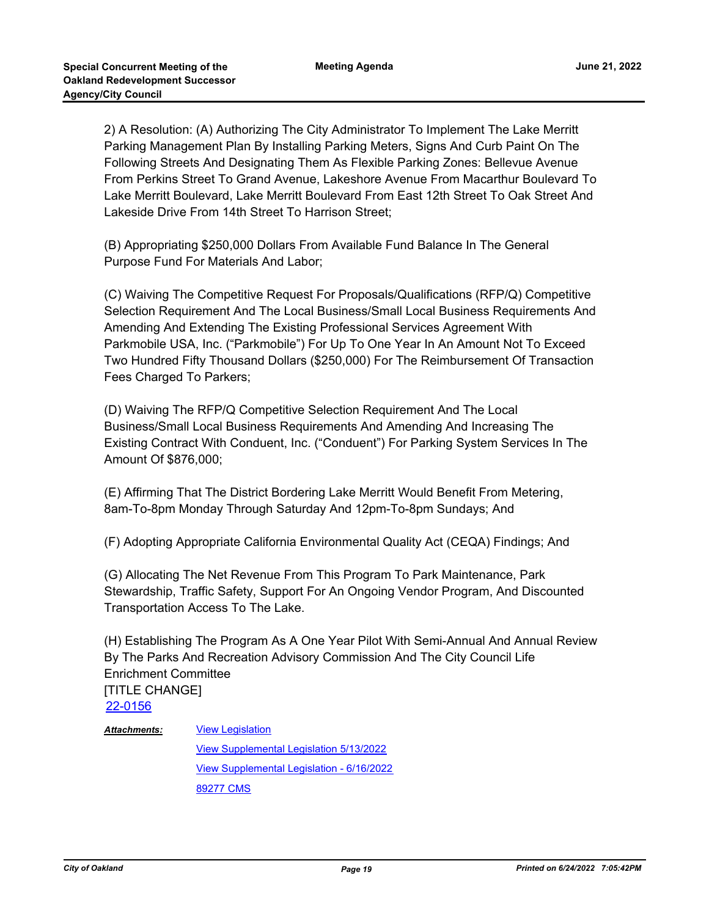2) A Resolution: (A) Authorizing The City Administrator To Implement The Lake Merritt Parking Management Plan By Installing Parking Meters, Signs And Curb Paint On The Following Streets And Designating Them As Flexible Parking Zones: Bellevue Avenue From Perkins Street To Grand Avenue, Lakeshore Avenue From Macarthur Boulevard To Lake Merritt Boulevard, Lake Merritt Boulevard From East 12th Street To Oak Street And Lakeside Drive From 14th Street To Harrison Street;

(B) Appropriating \$250,000 Dollars From Available Fund Balance In The General Purpose Fund For Materials And Labor;

(C) Waiving The Competitive Request For Proposals/Qualifications (RFP/Q) Competitive Selection Requirement And The Local Business/Small Local Business Requirements And Amending And Extending The Existing Professional Services Agreement With Parkmobile USA, Inc. ("Parkmobile") For Up To One Year In An Amount Not To Exceed Two Hundred Fifty Thousand Dollars (\$250,000) For The Reimbursement Of Transaction Fees Charged To Parkers;

(D) Waiving The RFP/Q Competitive Selection Requirement And The Local Business/Small Local Business Requirements And Amending And Increasing The Existing Contract With Conduent, Inc. ("Conduent") For Parking System Services In The Amount Of \$876,000;

(E) Affirming That The District Bordering Lake Merritt Would Benefit From Metering, 8am-To-8pm Monday Through Saturday And 12pm-To-8pm Sundays; And

(F) Adopting Appropriate California Environmental Quality Act (CEQA) Findings; And

(G) Allocating The Net Revenue From This Program To Park Maintenance, Park Stewardship, Traffic Safety, Support For An Ongoing Vendor Program, And Discounted Transportation Access To The Lake.

(H) Establishing The Program As A One Year Pilot With Semi-Annual And Annual Review By The Parks And Recreation Advisory Commission And The City Council Life Enrichment Committee [TITLE CHANGE] [22-0156](http://oakland.legistar.com/gateway.aspx?m=l&id=/matter.aspx?key=33077)

[View Legislation](http://oakland.legistar.com/gateway.aspx?M=F&ID=58e12837-8564-448e-8fbe-41fdada90e97.pdf) *Attachments:*

> [View Supplemental Legislation 5/13/2022](http://oakland.legistar.com/gateway.aspx?M=F&ID=8faf2eb2-221b-4356-8e98-9b48cda20bbd.pdf) [View Supplemental Legislation - 6/16/2022](http://oakland.legistar.com/gateway.aspx?M=F&ID=c9e0f0f7-00f6-4182-b15b-6b4e4c64e736.pdf) [89277 CMS](http://oakland.legistar.com/gateway.aspx?M=F&ID=14483a69-f2b6-413b-b0a8-cb3187415a31.pdf)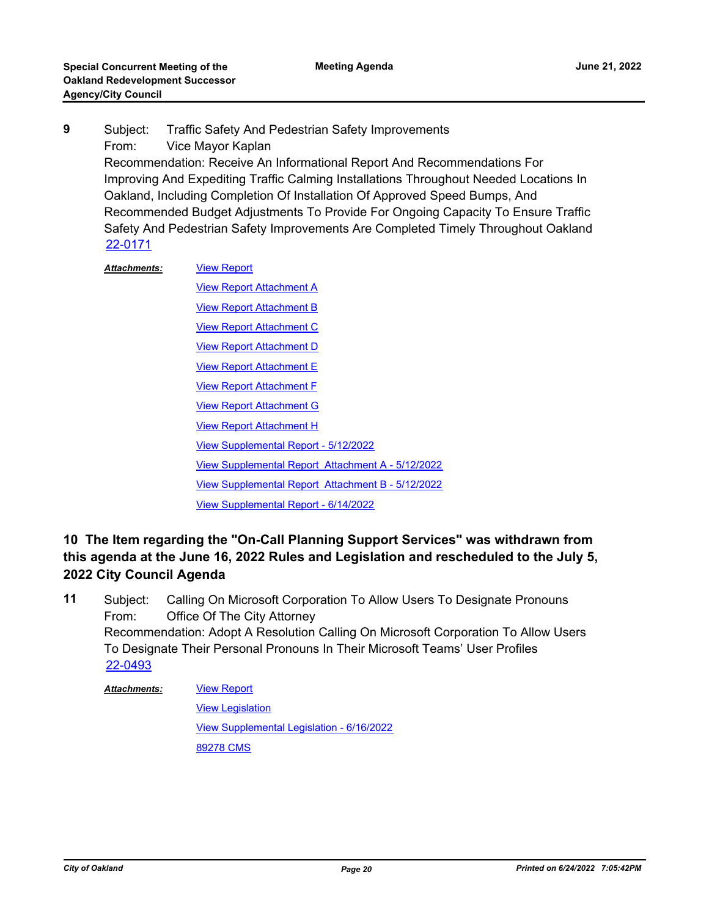Subject: Traffic Safety And Pedestrian Safety Improvements From: Vice Mayor Kaplan Recommendation: Receive An Informational Report And Recommendations For Improving And Expediting Traffic Calming Installations Throughout Needed Locations In Oakland, Including Completion Of Installation Of Approved Speed Bumps, And Recommended Budget Adjustments To Provide For Ongoing Capacity To Ensure Traffic Safety And Pedestrian Safety Improvements Are Completed Timely Throughout Oakland **9** [22-0171](http://oakland.legistar.com/gateway.aspx?m=l&id=/matter.aspx?key=33092)

[View Report](http://oakland.legistar.com/gateway.aspx?M=F&ID=975a7659-58f8-4c91-8c34-73272c8bb236.pdf) *Attachments:*

[View Report Attachment A](http://oakland.legistar.com/gateway.aspx?M=F&ID=8043ef3a-3998-4d1e-9c2b-5483d64aa614.pdf) **[View Report Attachment B](http://oakland.legistar.com/gateway.aspx?M=F&ID=aaeee93f-c1fd-4078-bde2-b83ed4bdbea3.pdf)** [View Report Attachment C](http://oakland.legistar.com/gateway.aspx?M=F&ID=d814d94e-7ba6-4870-8268-1818e023db37.pdf) **[View Report Attachment D](http://oakland.legistar.com/gateway.aspx?M=F&ID=36d4658c-a74c-48a6-943e-57324473d9c0.pdf)** [View Report Attachment E](http://oakland.legistar.com/gateway.aspx?M=F&ID=eee12614-6144-47a5-bd82-d5de2e0238f3.pdf) [View Report Attachment F](http://oakland.legistar.com/gateway.aspx?M=F&ID=4ea02c24-d5b2-4551-99e6-89bb669c5040.pdf) [View Report Attachment G](http://oakland.legistar.com/gateway.aspx?M=F&ID=ceeac246-c7e9-4ffa-b06d-6ad761b9ce49.pdf) **[View Report Attachment H](http://oakland.legistar.com/gateway.aspx?M=F&ID=fb8e3ab2-9ff4-4d38-9813-bd346c1398e7.pdf)** [View Supplemental Report - 5/12/2022](http://oakland.legistar.com/gateway.aspx?M=F&ID=a0ed72c4-dc2a-42e3-bf2f-c02914d5a4a7.pdf) [View Supplemental Report Attachment A - 5/12/2022](http://oakland.legistar.com/gateway.aspx?M=F&ID=dfc458ec-e286-4ba8-ad32-a5595faff709.pdf) [View Supplemental Report Attachment B - 5/12/2022](http://oakland.legistar.com/gateway.aspx?M=F&ID=0af517fd-e130-4b91-9cbc-e792b3178ea6.pdf) [View Supplemental Report - 6/14/2022](http://oakland.legistar.com/gateway.aspx?M=F&ID=14580305-a2e3-40bb-bf83-4f4368456468.pdf)

## **10 The Item regarding the "On-Call Planning Support Services" was withdrawn from this agenda at the June 16, 2022 Rules and Legislation and rescheduled to the July 5, 2022 City Council Agenda**

Subject: Calling On Microsoft Corporation To Allow Users To Designate Pronouns From: Office Of The City Attorney Recommendation: Adopt A Resolution Calling On Microsoft Corporation To Allow Users To Designate Their Personal Pronouns In Their Microsoft Teams' User Profiles **11** [22-0493](http://oakland.legistar.com/gateway.aspx?m=l&id=/matter.aspx?key=33413)

#### [View Report](http://oakland.legistar.com/gateway.aspx?M=F&ID=d118b498-3c91-4935-a084-69fd7018489b.PDF) [View Legislation](http://oakland.legistar.com/gateway.aspx?M=F&ID=8c3f9f1e-db05-423f-b690-953e7dacf4f9.PDF) [View Supplemental Legislation - 6/16/2022](http://oakland.legistar.com/gateway.aspx?M=F&ID=ec22aca8-91bf-43e4-96ea-f59370beb983.PDF) [89278 CMS](http://oakland.legistar.com/gateway.aspx?M=F&ID=faa266fe-133a-496e-a0c3-ab11c684904b.pdf) *Attachments:*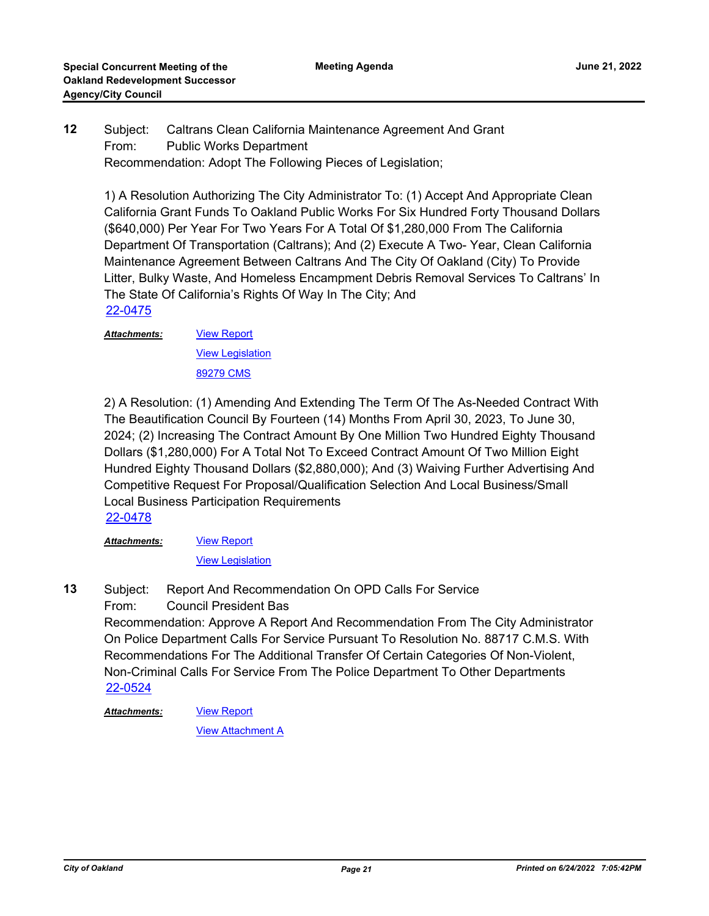#### Subject: Caltrans Clean California Maintenance Agreement And Grant From: Public Works Department Recommendation: Adopt The Following Pieces of Legislation; **12**

1) A Resolution Authorizing The City Administrator To: (1) Accept And Appropriate Clean California Grant Funds To Oakland Public Works For Six Hundred Forty Thousand Dollars (\$640,000) Per Year For Two Years For A Total Of \$1,280,000 From The California Department Of Transportation (Caltrans); And (2) Execute A Two- Year, Clean California Maintenance Agreement Between Caltrans And The City Of Oakland (City) To Provide Litter, Bulky Waste, And Homeless Encampment Debris Removal Services To Caltrans' In The State Of California's Rights Of Way In The City; And [22-0475](http://oakland.legistar.com/gateway.aspx?m=l&id=/matter.aspx?key=33395)

[View Report](http://oakland.legistar.com/gateway.aspx?M=F&ID=15098f12-62d5-4f1f-a873-540732c4e3fc.pdf) [View Legislation](http://oakland.legistar.com/gateway.aspx?M=F&ID=ca1ad4ae-2eae-4970-a8e8-17313d47c711.pdf) [89279 CMS](http://oakland.legistar.com/gateway.aspx?M=F&ID=24469857-25d1-4974-abef-606883e78a51.pdf) *Attachments:*

2) A Resolution: (1) Amending And Extending The Term Of The As-Needed Contract With The Beautification Council By Fourteen (14) Months From April 30, 2023, To June 30, 2024; (2) Increasing The Contract Amount By One Million Two Hundred Eighty Thousand Dollars (\$1,280,000) For A Total Not To Exceed Contract Amount Of Two Million Eight Hundred Eighty Thousand Dollars (\$2,880,000); And (3) Waiving Further Advertising And Competitive Request For Proposal/Qualification Selection And Local Business/Small Local Business Participation Requirements

[22-0478](http://oakland.legistar.com/gateway.aspx?m=l&id=/matter.aspx?key=33398) *Attachments:*

[View Report](http://oakland.legistar.com/gateway.aspx?M=F&ID=84aa16e0-d426-403e-891b-4d7f007a3859.pdf)

[View Legislation](http://oakland.legistar.com/gateway.aspx?M=F&ID=991e3ae4-9b0f-4a71-985b-2424eeaec5af.pdf)

Subject: Report And Recommendation On OPD Calls For Service **13**

From: Council President Bas

Recommendation: Approve A Report And Recommendation From The City Administrator On Police Department Calls For Service Pursuant To Resolution No. 88717 C.M.S. With Recommendations For The Additional Transfer Of Certain Categories Of Non-Violent, Non-Criminal Calls For Service From The Police Department To Other Departments [22-0524](http://oakland.legistar.com/gateway.aspx?m=l&id=/matter.aspx?key=33444)

[View Report](http://oakland.legistar.com/gateway.aspx?M=F&ID=99aa6dea-13f0-49e6-bf93-73e8a8c4083e.pdf) *Attachments:*

**[View Attachment A](http://oakland.legistar.com/gateway.aspx?M=F&ID=4662ff1b-8d1a-4167-b6d0-11862d521512.pdf)**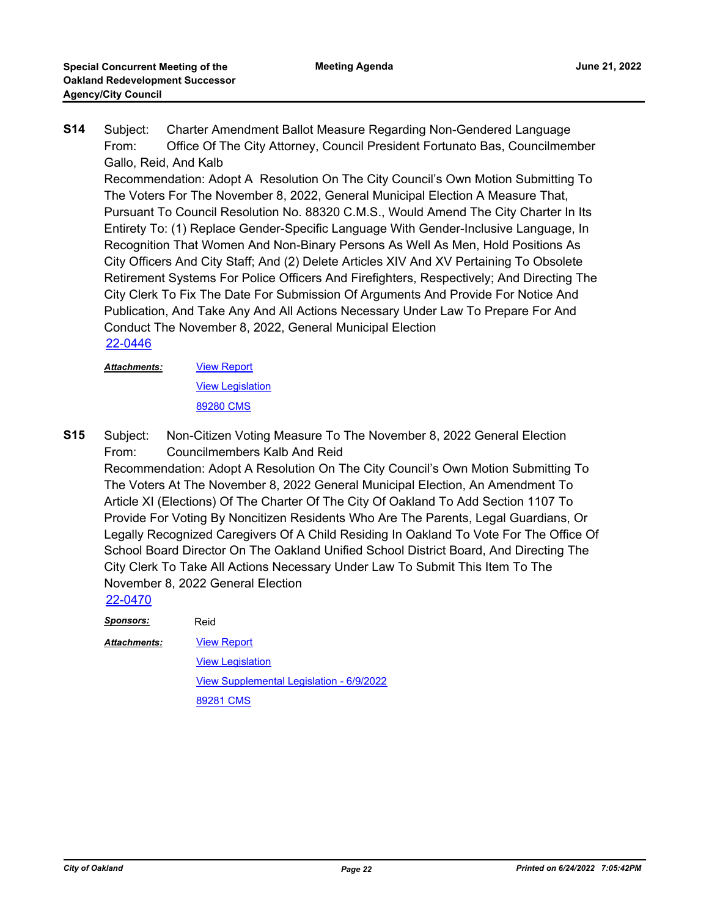Subject: Charter Amendment Ballot Measure Regarding Non-Gendered Language From: Office Of The City Attorney, Council President Fortunato Bas, Councilmember Gallo, Reid, And Kalb **S14**

Recommendation: Adopt A Resolution On The City Council's Own Motion Submitting To The Voters For The November 8, 2022, General Municipal Election A Measure That, Pursuant To Council Resolution No. 88320 C.M.S., Would Amend The City Charter In Its Entirety To: (1) Replace Gender-Specific Language With Gender-Inclusive Language, In Recognition That Women And Non-Binary Persons As Well As Men, Hold Positions As City Officers And City Staff; And (2) Delete Articles XIV And XV Pertaining To Obsolete Retirement Systems For Police Officers And Firefighters, Respectively; And Directing The City Clerk To Fix The Date For Submission Of Arguments And Provide For Notice And Publication, And Take Any And All Actions Necessary Under Law To Prepare For And Conduct The November 8, 2022, General Municipal Election [22-0446](http://oakland.legistar.com/gateway.aspx?m=l&id=/matter.aspx?key=33367)

[View Report](http://oakland.legistar.com/gateway.aspx?M=F&ID=996a98ae-2ab6-417a-8eed-ab9bf17cbb92.PDF) *Attachments:*

[View Legislation](http://oakland.legistar.com/gateway.aspx?M=F&ID=8bd4359a-7f0e-4683-9062-57ed75293b2f.PDF)

[89280 CMS](http://oakland.legistar.com/gateway.aspx?M=F&ID=657f93ae-b728-412b-81c2-25cdb6c04062.pdf)

Subject: Non-Citizen Voting Measure To The November 8, 2022 General Election From: Councilmembers Kalb And Reid **S15**

Recommendation: Adopt A Resolution On The City Council's Own Motion Submitting To The Voters At The November 8, 2022 General Municipal Election, An Amendment To Article XI (Elections) Of The Charter Of The City Of Oakland To Add Section 1107 To Provide For Voting By Noncitizen Residents Who Are The Parents, Legal Guardians, Or Legally Recognized Caregivers Of A Child Residing In Oakland To Vote For The Office Of School Board Director On The Oakland Unified School District Board, And Directing The City Clerk To Take All Actions Necessary Under Law To Submit This Item To The November 8, 2022 General Election

[22-0470](http://oakland.legistar.com/gateway.aspx?m=l&id=/matter.aspx?key=33391)

*Sponsors:* Reid

*Attachments:*

[View Report](http://oakland.legistar.com/gateway.aspx?M=F&ID=724c54a4-becb-4733-9486-37b42dab59d7.pdf) **[View Legislation](http://oakland.legistar.com/gateway.aspx?M=F&ID=6f9b40ea-9d87-495d-9e91-73dd864fdec0.pdf)** [View Supplemental Legislation - 6/9/2022](http://oakland.legistar.com/gateway.aspx?M=F&ID=8a51dd17-e6ed-43c2-bdae-5b6237541f7a.PDF) [89281 CMS](http://oakland.legistar.com/gateway.aspx?M=F&ID=8a14f2f1-b63e-4c33-9b4a-347c88cda534.pdf)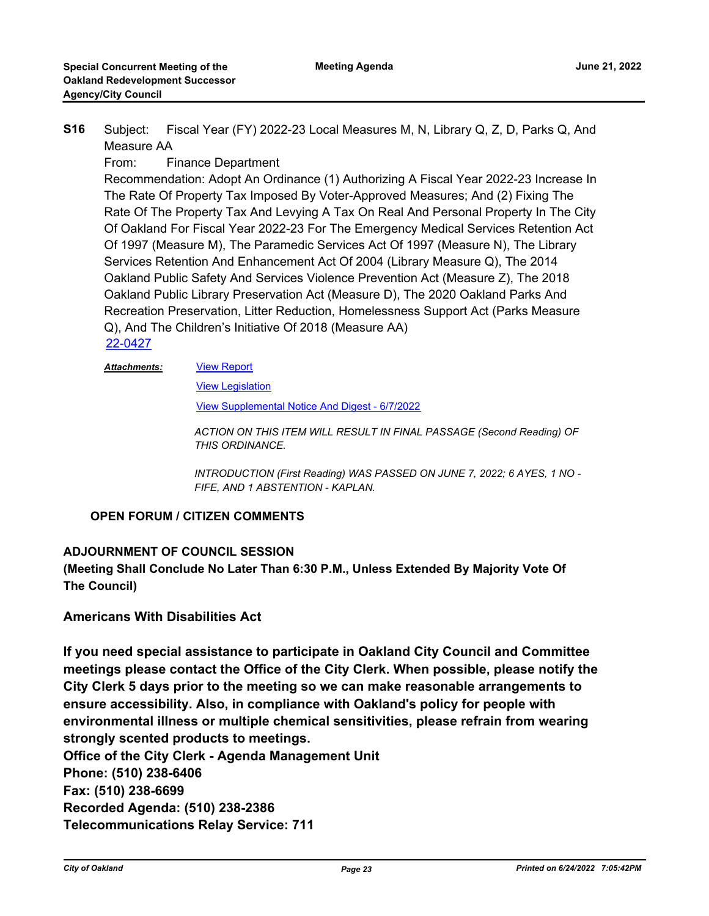Subject: Fiscal Year (FY) 2022-23 Local Measures M, N, Library Q, Z, D, Parks Q, And Measure AA **S16**

From: Finance Department

Recommendation: Adopt An Ordinance (1) Authorizing A Fiscal Year 2022-23 Increase In The Rate Of Property Tax Imposed By Voter-Approved Measures; And (2) Fixing The Rate Of The Property Tax And Levying A Tax On Real And Personal Property In The City Of Oakland For Fiscal Year 2022-23 For The Emergency Medical Services Retention Act Of 1997 (Measure M), The Paramedic Services Act Of 1997 (Measure N), The Library Services Retention And Enhancement Act Of 2004 (Library Measure Q), The 2014 Oakland Public Safety And Services Violence Prevention Act (Measure Z), The 2018 Oakland Public Library Preservation Act (Measure D), The 2020 Oakland Parks And Recreation Preservation, Litter Reduction, Homelessness Support Act (Parks Measure Q), And The Children's Initiative Of 2018 (Measure AA) [22-0427](http://oakland.legistar.com/gateway.aspx?m=l&id=/matter.aspx?key=33348)

#### [View Report](http://oakland.legistar.com/gateway.aspx?M=F&ID=f54b1cc3-0ceb-4619-98ee-55c76714d815.pdf) *Attachments:*

[View Legislation](http://oakland.legistar.com/gateway.aspx?M=F&ID=32c254b5-9575-45fa-96bd-4a9b66abdc6c.pdf)

[View Supplemental Notice And Digest - 6/7/2022](http://oakland.legistar.com/gateway.aspx?M=F&ID=1b77705e-ea34-41ff-8870-e27677e6b718.pdf)

*ACTION ON THIS ITEM WILL RESULT IN FINAL PASSAGE (Second Reading) OF THIS ORDINANCE.*

*INTRODUCTION (First Reading) WAS PASSED ON JUNE 7, 2022; 6 AYES, 1 NO - FIFE, AND 1 ABSTENTION - KAPLAN.*

#### **OPEN FORUM / CITIZEN COMMENTS**

#### **ADJOURNMENT OF COUNCIL SESSION**

**(Meeting Shall Conclude No Later Than 6:30 P.M., Unless Extended By Majority Vote Of The Council)**

### **Americans With Disabilities Act**

**If you need special assistance to participate in Oakland City Council and Committee meetings please contact the Office of the City Clerk. When possible, please notify the City Clerk 5 days prior to the meeting so we can make reasonable arrangements to ensure accessibility. Also, in compliance with Oakland's policy for people with environmental illness or multiple chemical sensitivities, please refrain from wearing strongly scented products to meetings.**

**Office of the City Clerk - Agenda Management Unit Phone: (510) 238-6406 Fax: (510) 238-6699 Recorded Agenda: (510) 238-2386 Telecommunications Relay Service: 711**